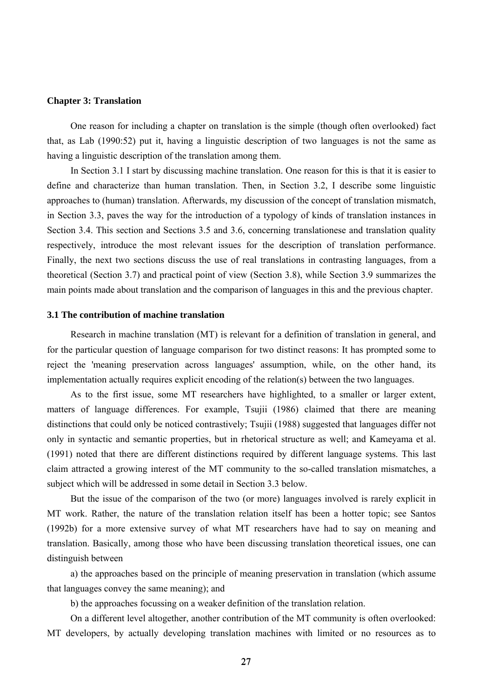#### **Chapter 3: Translation**

One reason for including a chapter on translation is the simple (though often overlooked) fact that, as Lab (1990:52) put it, having a linguistic description of two languages is not the same as having a linguistic description of the translation among them.

In Section 3.1 I start by discussing machine translation. One reason for this is that it is easier to define and characterize than human translation. Then, in Section 3.2, I describe some linguistic approaches to (human) translation. Afterwards, my discussion of the concept of translation mismatch, in Section 3.3, paves the way for the introduction of a typology of kinds of translation instances in Section 3.4. This section and Sections 3.5 and 3.6, concerning translationese and translation quality respectively, introduce the most relevant issues for the description of translation performance. Finally, the next two sections discuss the use of real translations in contrasting languages, from a theoretical (Section 3.7) and practical point of view (Section 3.8), while Section 3.9 summarizes the main points made about translation and the comparison of languages in this and the previous chapter.

#### **3.1 The contribution of machine translation**

Research in machine translation (MT) is relevant for a definition of translation in general, and for the particular question of language comparison for two distinct reasons: It has prompted some to reject the 'meaning preservation across languages' assumption, while, on the other hand, its implementation actually requires explicit encoding of the relation(s) between the two languages.

As to the first issue, some MT researchers have highlighted, to a smaller or larger extent, matters of language differences. For example, Tsujii (1986) claimed that there are meaning distinctions that could only be noticed contrastively; Tsujii (1988) suggested that languages differ not only in syntactic and semantic properties, but in rhetorical structure as well; and Kameyama et al. (1991) noted that there are different distinctions required by different language systems. This last claim attracted a growing interest of the MT community to the so-called translation mismatches, a subject which will be addressed in some detail in Section 3.3 below.

But the issue of the comparison of the two (or more) languages involved is rarely explicit in MT work. Rather, the nature of the translation relation itself has been a hotter topic; see Santos (1992b) for a more extensive survey of what MT researchers have had to say on meaning and translation. Basically, among those who have been discussing translation theoretical issues, one can distinguish between

a) the approaches based on the principle of meaning preservation in translation (which assume that languages convey the same meaning); and

b) the approaches focussing on a weaker definition of the translation relation.

On a different level altogether, another contribution of the MT community is often overlooked: MT developers, by actually developing translation machines with limited or no resources as to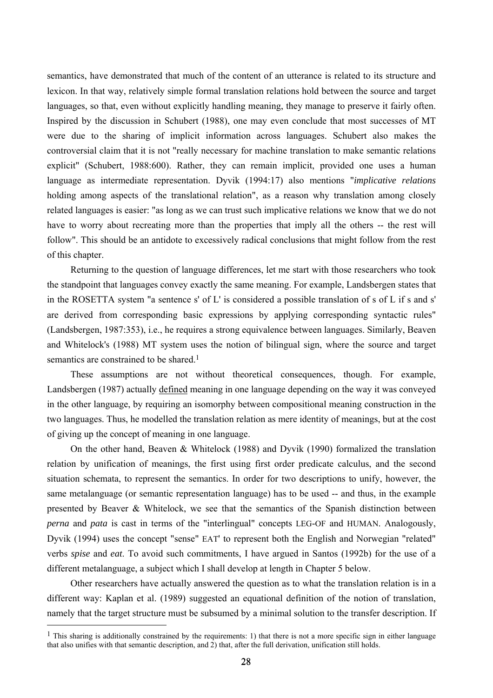semantics, have demonstrated that much of the content of an utterance is related to its structure and lexicon. In that way, relatively simple formal translation relations hold between the source and target languages, so that, even without explicitly handling meaning, they manage to preserve it fairly often. Inspired by the discussion in Schubert (1988), one may even conclude that most successes of MT were due to the sharing of implicit information across languages. Schubert also makes the controversial claim that it is not "really necessary for machine translation to make semantic relations explicit" (Schubert, 1988:600). Rather, they can remain implicit, provided one uses a human language as intermediate representation. Dyvik (1994:17) also mentions "*implicative relations*  holding among aspects of the translational relation", as a reason why translation among closely related languages is easier: "as long as we can trust such implicative relations we know that we do not have to worry about recreating more than the properties that imply all the others -- the rest will follow". This should be an antidote to excessively radical conclusions that might follow from the rest of this chapter.

Returning to the question of language differences, let me start with those researchers who took the standpoint that languages convey exactly the same meaning. For example, Landsbergen states that in the ROSETTA system "a sentence s' of L' is considered a possible translation of s of L if s and s' are derived from corresponding basic expressions by applying corresponding syntactic rules" (Landsbergen, 1987:353), i.e., he requires a strong equivalence between languages. Similarly, Beaven and Whitelock's (1988) MT system uses the notion of bilingual sign, where the source and target semantics are constrained to be shared.<sup>1</sup>

These assumptions are not without theoretical consequences, though. For example, Landsbergen (1987) actually defined meaning in one language depending on the way it was conveyed in the other language, by requiring an isomorphy between compositional meaning construction in the two languages. Thus, he modelled the translation relation as mere identity of meanings, but at the cost of giving up the concept of meaning in one language.

On the other hand, Beaven & Whitelock (1988) and Dyvik (1990) formalized the translation relation by unification of meanings, the first using first order predicate calculus, and the second situation schemata, to represent the semantics. In order for two descriptions to unify, however, the same metalanguage (or semantic representation language) has to be used -- and thus, in the example presented by Beaver & Whitelock, we see that the semantics of the Spanish distinction between *perna* and *pata* is cast in terms of the "interlingual" concepts LEG-OF and HUMAN. Analogously, Dyvik (1994) uses the concept "sense" EAT' to represent both the English and Norwegian "related" verbs *spise* and *eat*. To avoid such commitments, I have argued in Santos (1992b) for the use of a different metalanguage, a subject which I shall develop at length in Chapter 5 below.

Other researchers have actually answered the question as to what the translation relation is in a different way: Kaplan et al. (1989) suggested an equational definition of the notion of translation, namely that the target structure must be subsumed by a minimal solution to the transfer description. If

 $<sup>1</sup>$  This sharing is additionally constrained by the requirements: 1) that there is not a more specific sign in either language</sup> that also unifies with that semantic description, and 2) that, after the full derivation, unification still holds.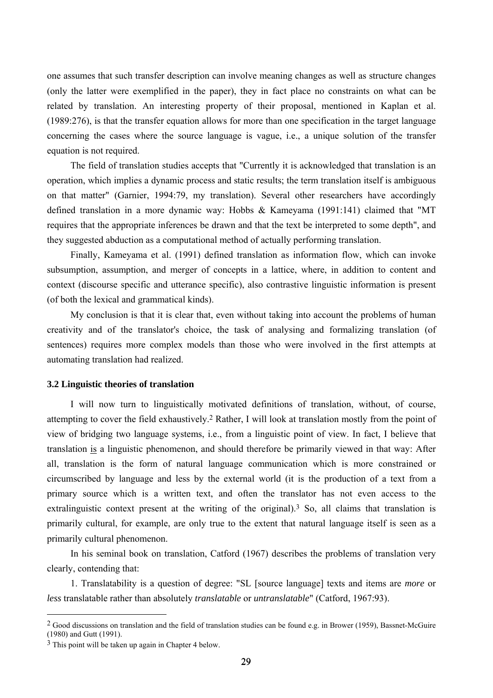one assumes that such transfer description can involve meaning changes as well as structure changes (only the latter were exemplified in the paper), they in fact place no constraints on what can be related by translation. An interesting property of their proposal, mentioned in Kaplan et al. (1989:276), is that the transfer equation allows for more than one specification in the target language concerning the cases where the source language is vague, i.e., a unique solution of the transfer equation is not required.

The field of translation studies accepts that "Currently it is acknowledged that translation is an operation, which implies a dynamic process and static results; the term translation itself is ambiguous on that matter" (Garnier, 1994:79, my translation). Several other researchers have accordingly defined translation in a more dynamic way: Hobbs & Kameyama (1991:141) claimed that "MT requires that the appropriate inferences be drawn and that the text be interpreted to some depth", and they suggested abduction as a computational method of actually performing translation.

Finally, Kameyama et al. (1991) defined translation as information flow, which can invoke subsumption, assumption, and merger of concepts in a lattice, where, in addition to content and context (discourse specific and utterance specific), also contrastive linguistic information is present (of both the lexical and grammatical kinds).

My conclusion is that it is clear that, even without taking into account the problems of human creativity and of the translator's choice, the task of analysing and formalizing translation (of sentences) requires more complex models than those who were involved in the first attempts at automating translation had realized.

## **3.2 Linguistic theories of translation**

I will now turn to linguistically motivated definitions of translation, without, of course, attempting to cover the field exhaustively.2 Rather, I will look at translation mostly from the point of view of bridging two language systems, i.e., from a linguistic point of view. In fact, I believe that translation is a linguistic phenomenon, and should therefore be primarily viewed in that way: After all, translation is the form of natural language communication which is more constrained or circumscribed by language and less by the external world (it is the production of a text from a primary source which is a written text, and often the translator has not even access to the extralinguistic context present at the writing of the original).<sup>3</sup> So, all claims that translation is primarily cultural, for example, are only true to the extent that natural language itself is seen as a primarily cultural phenomenon.

In his seminal book on translation, Catford (1967) describes the problems of translation very clearly, contending that:

1. Translatability is a question of degree: "SL [source language] texts and items are *more* or *less* translatable rather than absolutely *translatable* or *untranslatable*" (Catford, 1967:93).

<sup>&</sup>lt;sup>2</sup> Good discussions on translation and the field of translation studies can be found e.g. in Brower (1959), Bassnet-McGuire (1980) and Gutt (1991).

<sup>3</sup> This point will be taken up again in Chapter 4 below.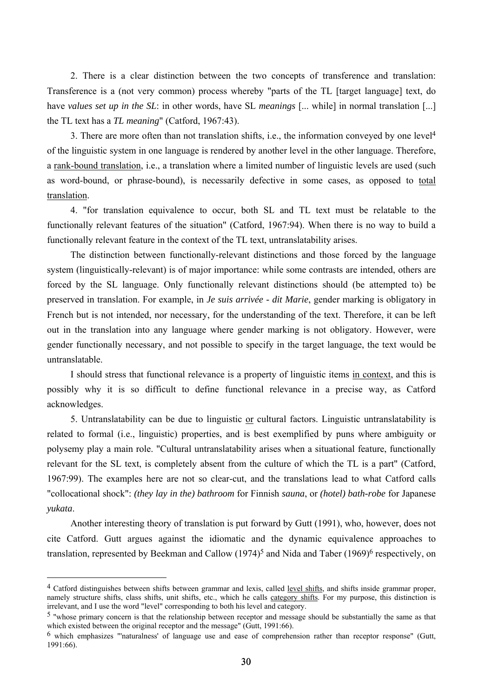2. There is a clear distinction between the two concepts of transference and translation: Transference is a (not very common) process whereby "parts of the TL [target language] text, do have *values set up in the SL*: in other words, have SL *meanings* [... while] in normal translation [...] the TL text has a *TL meaning*" (Catford, 1967:43).

3. There are more often than not translation shifts, i.e., the information conveyed by one level4 of the linguistic system in one language is rendered by another level in the other language. Therefore, a rank-bound translation, i.e., a translation where a limited number of linguistic levels are used (such as word-bound, or phrase-bound), is necessarily defective in some cases, as opposed to total translation.

4. "for translation equivalence to occur, both SL and TL text must be relatable to the functionally relevant features of the situation" (Catford, 1967:94). When there is no way to build a functionally relevant feature in the context of the TL text, untranslatability arises.

The distinction between functionally-relevant distinctions and those forced by the language system (linguistically-relevant) is of major importance: while some contrasts are intended, others are forced by the SL language. Only functionally relevant distinctions should (be attempted to) be preserved in translation. For example, in *Je suis arrivée - dit Marie*, gender marking is obligatory in French but is not intended, nor necessary, for the understanding of the text. Therefore, it can be left out in the translation into any language where gender marking is not obligatory. However, were gender functionally necessary, and not possible to specify in the target language, the text would be untranslatable.

I should stress that functional relevance is a property of linguistic items in context, and this is possibly why it is so difficult to define functional relevance in a precise way, as Catford acknowledges.

5. Untranslatability can be due to linguistic or cultural factors. Linguistic untranslatability is related to formal (i.e., linguistic) properties, and is best exemplified by puns where ambiguity or polysemy play a main role. "Cultural untranslatability arises when a situational feature, functionally relevant for the SL text, is completely absent from the culture of which the TL is a part" (Catford, 1967:99). The examples here are not so clear-cut, and the translations lead to what Catford calls "collocational shock": *(they lay in the) bathroom* for Finnish *sauna*, or *(hotel) bath-robe* for Japanese *yukata*.

Another interesting theory of translation is put forward by Gutt (1991), who, however, does not cite Catford. Gutt argues against the idiomatic and the dynamic equivalence approaches to translation, represented by Beekman and Callow (1974)<sup>5</sup> and Nida and Taber (1969)<sup>6</sup> respectively, on

<sup>4</sup> Catford distinguishes between shifts between grammar and lexis, called level shifts, and shifts inside grammar proper, namely structure shifts, class shifts, unit shifts, etc., which he calls category shifts. For my purpose, this distinction is irrelevant, and I use the word "level" corresponding to both his level and category.

<sup>&</sup>lt;sup>5</sup> "whose primary concern is that the relationship between receptor and message should be substantially the same as that which existed between the original receptor and the message" (Gutt, 1991:66).

<sup>6</sup> which emphasizes "'naturalness' of language use and ease of comprehension rather than receptor response" (Gutt, 1991:66).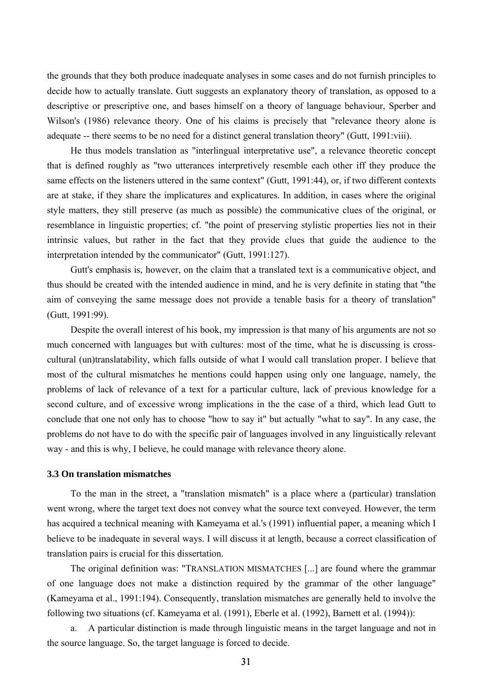the grounds that they both produce inadequate analyses in some cases and do not furnish principles to decide how to actually translate. Gutt suggests an explanatory theory of translation, as opposed to a descriptive or prescriptive one, and bases himself on a theory of language behaviour, Sperber and Wilson's (1986) relevance theory. One of his claims is precisely that "relevance theory alone is adequate -- there seems to be no need for a distinct general translation theory" (Gutt, 1991:viii).

He thus models translation as "interlingual interpretative use", a relevance theoretic concept that is defined roughly as "two utterances interpretively resemble each other iff they produce the same effects on the listeners uttered in the same context" (Gutt, 1991:44), or, if two different contexts are at stake, if they share the implicatures and explicatures. In addition, in cases where the original style matters, they still preserve (as much as possible) the communicative clues of the original, or resemblance in linguistic properties; cf. "the point of preserving stylistic properties lies not in their intrinsic values, but rather in the fact that they provide clues that guide the audience to the interpretation intended by the communicator" (Gutt, 1991:127).

Gutt's emphasis is, however, on the claim that a translated text is a communicative object, and thus should be created with the intended audience in mind, and he is very definite in stating that "the aim of conveying the same message does not provide a tenable basis for a theory of translation" (Gutt, 1991:99).

Despite the overall interest of his book, my impression is that many of his arguments are not so much concerned with languages but with cultures: most of the time, what he is discussing is crosscultural (un)translatability, which falls outside of what I would call translation proper. I believe that most of the cultural mismatches he mentions could happen using only one language, namely, the problems of lack of relevance of a text for a particular culture, lack of previous knowledge for a second culture, and of excessive wrong implications in the the case of a third, which lead Gutt to conclude that one not only has to choose "how to say it" but actually "what to say". In any case, the problems do not have to do with the specific pair of languages involved in any linguistically relevant way - and this is why, I believe, he could manage with relevance theory alone.

### **3.3 On translation mismatches**

To the man in the street, a "translation mismatch" is a place where a (particular) translation went wrong, where the target text does not convey what the source text conveyed. However, the term has acquired a technical meaning with Kameyama et al.'s (1991) influential paper, a meaning which I believe to be inadequate in several ways. I will discuss it at length, because a correct classification of translation pairs is crucial for this dissertation.

The original definition was: "TRANSLATION MISMATCHES [...] are found where the grammar of one language does not make a distinction required by the grammar of the other language" (Kameyama et al., 1991:194). Consequently, translation mismatches are generally held to involve the following two situations (cf. Kameyama et al. (1991), Eberle et al. (1992), Barnett et al. (1994)):

a. A particular distinction is made through linguistic means in the target language and not in the source language. So, the target language is forced to decide.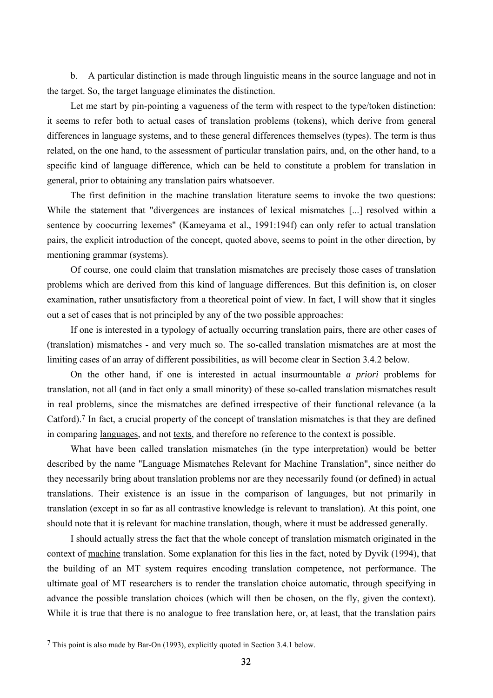b. A particular distinction is made through linguistic means in the source language and not in the target. So, the target language eliminates the distinction.

Let me start by pin-pointing a vagueness of the term with respect to the type/token distinction: it seems to refer both to actual cases of translation problems (tokens), which derive from general differences in language systems, and to these general differences themselves (types). The term is thus related, on the one hand, to the assessment of particular translation pairs, and, on the other hand, to a specific kind of language difference, which can be held to constitute a problem for translation in general, prior to obtaining any translation pairs whatsoever.

The first definition in the machine translation literature seems to invoke the two questions: While the statement that "divergences are instances of lexical mismatches [...] resolved within a sentence by coocurring lexemes" (Kameyama et al., 1991:194f) can only refer to actual translation pairs, the explicit introduction of the concept, quoted above, seems to point in the other direction, by mentioning grammar (systems).

Of course, one could claim that translation mismatches are precisely those cases of translation problems which are derived from this kind of language differences. But this definition is, on closer examination, rather unsatisfactory from a theoretical point of view. In fact, I will show that it singles out a set of cases that is not principled by any of the two possible approaches:

If one is interested in a typology of actually occurring translation pairs, there are other cases of (translation) mismatches - and very much so. The so-called translation mismatches are at most the limiting cases of an array of different possibilities, as will become clear in Section 3.4.2 below.

On the other hand, if one is interested in actual insurmountable *a priori* problems for translation, not all (and in fact only a small minority) of these so-called translation mismatches result in real problems, since the mismatches are defined irrespective of their functional relevance (a la Catford).7 In fact, a crucial property of the concept of translation mismatches is that they are defined in comparing languages, and not texts, and therefore no reference to the context is possible.

What have been called translation mismatches (in the type interpretation) would be better described by the name "Language Mismatches Relevant for Machine Translation", since neither do they necessarily bring about translation problems nor are they necessarily found (or defined) in actual translations. Their existence is an issue in the comparison of languages, but not primarily in translation (except in so far as all contrastive knowledge is relevant to translation). At this point, one should note that it is relevant for machine translation, though, where it must be addressed generally.

I should actually stress the fact that the whole concept of translation mismatch originated in the context of machine translation. Some explanation for this lies in the fact, noted by Dyvik (1994), that the building of an MT system requires encoding translation competence, not performance. The ultimate goal of MT researchers is to render the translation choice automatic, through specifying in advance the possible translation choices (which will then be chosen, on the fly, given the context). While it is true that there is no analogue to free translation here, or, at least, that the translation pairs

<sup>7</sup> This point is also made by Bar-On (1993), explicitly quoted in Section 3.4.1 below.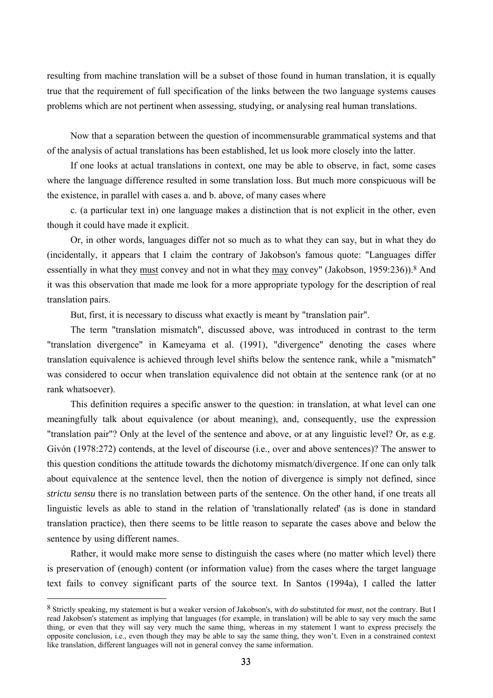resulting from machine translation will be a subset of those found in human translation, it is equally true that the requirement of full specification of the links between the two language systems causes problems which are not pertinent when assessing, studying, or analysing real human translations.

Now that a separation between the question of incommensurable grammatical systems and that of the analysis of actual translations has been established, let us look more closely into the latter.

If one looks at actual translations in context, one may be able to observe, in fact, some cases where the language difference resulted in some translation loss. But much more conspicuous will be the existence, in parallel with cases a. and b. above, of many cases where

c. (a particular text in) one language makes a distinction that is not explicit in the other, even though it could have made it explicit.

Or, in other words, languages differ not so much as to what they can say, but in what they do (incidentally, it appears that I claim the contrary of Jakobson's famous quote: "Languages differ essentially in what they must convey and not in what they may convey" (Jakobson, 1959:236)).<sup>8</sup> And it was this observation that made me look for a more appropriate typology for the description of real translation pairs.

But, first, it is necessary to discuss what exactly is meant by "translation pair".

The term "translation mismatch", discussed above, was introduced in contrast to the term "translation divergence" in Kameyama et al. (1991), "divergence" denoting the cases where translation equivalence is achieved through level shifts below the sentence rank, while a "mismatch" was considered to occur when translation equivalence did not obtain at the sentence rank (or at no rank whatsoever).

This definition requires a specific answer to the question: in translation, at what level can one meaningfully talk about equivalence (or about meaning), and, consequently, use the expression "translation pair"? Only at the level of the sentence and above, or at any linguistic level? Or, as e.g. Givón (1978:272) contends, at the level of discourse (i.e., over and above sentences)? The answer to this question conditions the attitude towards the dichotomy mismatch/divergence. If one can only talk about equivalence at the sentence level, then the notion of divergence is simply not defined, since *strictu sensu* there is no translation between parts of the sentence. On the other hand, if one treats all linguistic levels as able to stand in the relation of 'translationally related' (as is done in standard translation practice), then there seems to be little reason to separate the cases above and below the sentence by using different names.

Rather, it would make more sense to distinguish the cases where (no matter which level) there is preservation of (enough) content (or information value) from the cases where the target language text fails to convey significant parts of the source text. In Santos (1994a), I called the latter

<sup>8</sup> Strictly speaking, my statement is but a weaker version of Jakobson's, with *do* substituted for *must*, not the contrary. But I read Jakobson's statement as implying that languages (for example, in translation) will be able to say very much the same thing, or even that they will say very much the same thing, whereas in my statement I want to express precisely the opposite conclusion, i.e., even though they may be able to say the same thing, they won't. Even in a constrained context like translation, different languages will not in general convey the same information.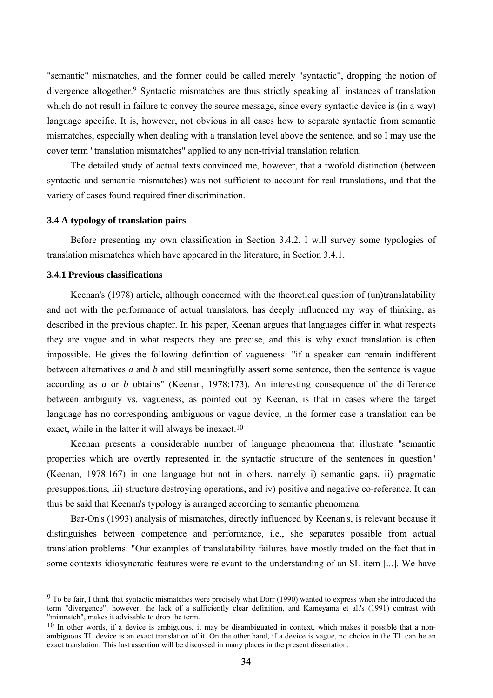"semantic" mismatches, and the former could be called merely "syntactic", dropping the notion of divergence altogether.9 Syntactic mismatches are thus strictly speaking all instances of translation which do not result in failure to convey the source message, since every syntactic device is (in a way) language specific. It is, however, not obvious in all cases how to separate syntactic from semantic mismatches, especially when dealing with a translation level above the sentence, and so I may use the cover term "translation mismatches" applied to any non-trivial translation relation.

The detailed study of actual texts convinced me, however, that a twofold distinction (between syntactic and semantic mismatches) was not sufficient to account for real translations, and that the variety of cases found required finer discrimination.

## **3.4 A typology of translation pairs**

Before presenting my own classification in Section 3.4.2, I will survey some typologies of translation mismatches which have appeared in the literature, in Section 3.4.1.

## **3.4.1 Previous classifications**

 $\overline{a}$ 

Keenan's (1978) article, although concerned with the theoretical question of (un)translatability and not with the performance of actual translators, has deeply influenced my way of thinking, as described in the previous chapter. In his paper, Keenan argues that languages differ in what respects they are vague and in what respects they are precise, and this is why exact translation is often impossible. He gives the following definition of vagueness: "if a speaker can remain indifferent between alternatives *a* and *b* and still meaningfully assert some sentence, then the sentence is vague according as *a* or *b* obtains" (Keenan, 1978:173). An interesting consequence of the difference between ambiguity vs. vagueness, as pointed out by Keenan, is that in cases where the target language has no corresponding ambiguous or vague device, in the former case a translation can be exact, while in the latter it will always be inexact.10

Keenan presents a considerable number of language phenomena that illustrate "semantic properties which are overtly represented in the syntactic structure of the sentences in question" (Keenan, 1978:167) in one language but not in others, namely i) semantic gaps, ii) pragmatic presuppositions, iii) structure destroying operations, and iv) positive and negative co-reference. It can thus be said that Keenan's typology is arranged according to semantic phenomena.

Bar-On's (1993) analysis of mismatches, directly influenced by Keenan's, is relevant because it distinguishes between competence and performance, i.e., she separates possible from actual translation problems: "Our examples of translatability failures have mostly traded on the fact that in some contexts idiosyncratic features were relevant to the understanding of an SL item [...]. We have

<sup>&</sup>lt;sup>9</sup> To be fair. I think that syntactic mismatches were precisely what Dorr (1990) wanted to express when she introduced the term "divergence"; however, the lack of a sufficiently clear definition, and Kameyama et al.'s (1991) contrast with "mismatch", makes it advisable to drop the term.

 $10$  In other words, if a device is ambiguous, it may be disambiguated in context, which makes it possible that a nonambiguous TL device is an exact translation of it. On the other hand, if a device is vague, no choice in the TL can be an exact translation. This last assertion will be discussed in many places in the present dissertation.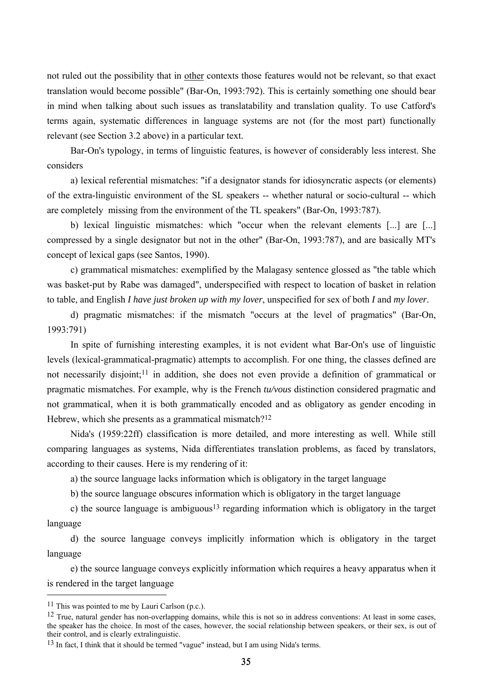not ruled out the possibility that in other contexts those features would not be relevant, so that exact translation would become possible" (Bar-On, 1993:792). This is certainly something one should bear in mind when talking about such issues as translatability and translation quality. To use Catford's terms again, systematic differences in language systems are not (for the most part) functionally relevant (see Section 3.2 above) in a particular text.

Bar-On's typology, in terms of linguistic features, is however of considerably less interest. She considers

a) lexical referential mismatches: "if a designator stands for idiosyncratic aspects (or elements) of the extra-linguistic environment of the SL speakers -- whether natural or socio-cultural -- which are completely missing from the environment of the TL speakers" (Bar-On, 1993:787).

b) lexical linguistic mismatches: which "occur when the relevant elements [...] are [...] compressed by a single designator but not in the other" (Bar-On, 1993:787), and are basically MT's concept of lexical gaps (see Santos, 1990).

c) grammatical mismatches: exemplified by the Malagasy sentence glossed as "the table which was basket-put by Rabe was damaged", underspecified with respect to location of basket in relation to table, and English *I have just broken up with my lover*, unspecified for sex of both *I* and *my lover*.

d) pragmatic mismatches: if the mismatch "occurs at the level of pragmatics" (Bar-On, 1993:791)

In spite of furnishing interesting examples, it is not evident what Bar-On's use of linguistic levels (lexical-grammatical-pragmatic) attempts to accomplish. For one thing, the classes defined are not necessarily disjoint;<sup>11</sup> in addition, she does not even provide a definition of grammatical or pragmatic mismatches. For example, why is the French *tu/vous* distinction considered pragmatic and not grammatical, when it is both grammatically encoded and as obligatory as gender encoding in Hebrew, which she presents as a grammatical mismatch?<sup>12</sup>

Nida's (1959:22ff) classification is more detailed, and more interesting as well. While still comparing languages as systems, Nida differentiates translation problems, as faced by translators, according to their causes. Here is my rendering of it:

a) the source language lacks information which is obligatory in the target language

b) the source language obscures information which is obligatory in the target language

c) the source language is ambiguous<sup>13</sup> regarding information which is obligatory in the target language

d) the source language conveys implicitly information which is obligatory in the target language

e) the source language conveys explicitly information which requires a heavy apparatus when it is rendered in the target language

 $11$  This was pointed to me by Lauri Carlson (p.c.).

<sup>12</sup> True, natural gender has non-overlapping domains, while this is not so in address conventions: At least in some cases, the speaker has the choice. In most of the cases, however, the social relationship between speakers, or their sex, is out of their control, and is clearly extralinguistic.

<sup>13</sup> In fact, I think that it should be termed "vague" instead, but I am using Nida's terms.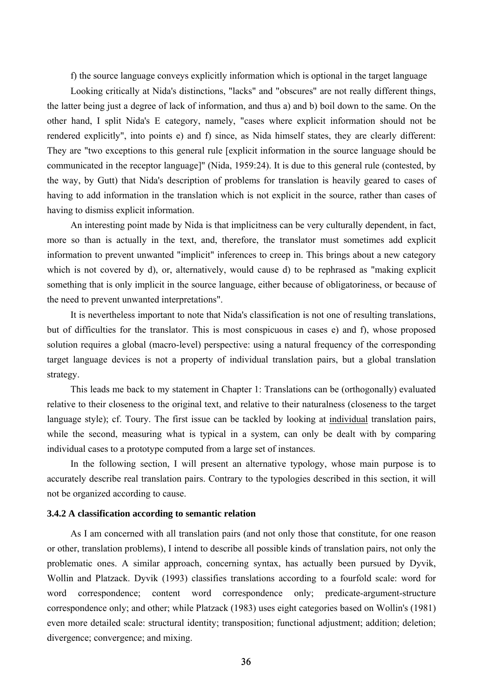f) the source language conveys explicitly information which is optional in the target language

Looking critically at Nida's distinctions, "lacks" and "obscures" are not really different things, the latter being just a degree of lack of information, and thus a) and b) boil down to the same. On the other hand, I split Nida's E category, namely, "cases where explicit information should not be rendered explicitly", into points e) and f) since, as Nida himself states, they are clearly different: They are "two exceptions to this general rule [explicit information in the source language should be communicated in the receptor language]" (Nida, 1959:24). It is due to this general rule (contested, by the way, by Gutt) that Nida's description of problems for translation is heavily geared to cases of having to add information in the translation which is not explicit in the source, rather than cases of having to dismiss explicit information.

An interesting point made by Nida is that implicitness can be very culturally dependent, in fact, more so than is actually in the text, and, therefore, the translator must sometimes add explicit information to prevent unwanted "implicit" inferences to creep in. This brings about a new category which is not covered by d), or, alternatively, would cause d) to be rephrased as "making explicit something that is only implicit in the source language, either because of obligatoriness, or because of the need to prevent unwanted interpretations".

It is nevertheless important to note that Nida's classification is not one of resulting translations, but of difficulties for the translator. This is most conspicuous in cases e) and f), whose proposed solution requires a global (macro-level) perspective: using a natural frequency of the corresponding target language devices is not a property of individual translation pairs, but a global translation strategy.

This leads me back to my statement in Chapter 1: Translations can be (orthogonally) evaluated relative to their closeness to the original text, and relative to their naturalness (closeness to the target language style); cf. Toury. The first issue can be tackled by looking at individual translation pairs, while the second, measuring what is typical in a system, can only be dealt with by comparing individual cases to a prototype computed from a large set of instances.

In the following section, I will present an alternative typology, whose main purpose is to accurately describe real translation pairs. Contrary to the typologies described in this section, it will not be organized according to cause.

### **3.4.2 A classification according to semantic relation**

As I am concerned with all translation pairs (and not only those that constitute, for one reason or other, translation problems), I intend to describe all possible kinds of translation pairs, not only the problematic ones. A similar approach, concerning syntax, has actually been pursued by Dyvik, Wollin and Platzack. Dyvik (1993) classifies translations according to a fourfold scale: word for word correspondence; content word correspondence only; predicate-argument-structure correspondence only; and other; while Platzack (1983) uses eight categories based on Wollin's (1981) even more detailed scale: structural identity; transposition; functional adjustment; addition; deletion; divergence; convergence; and mixing.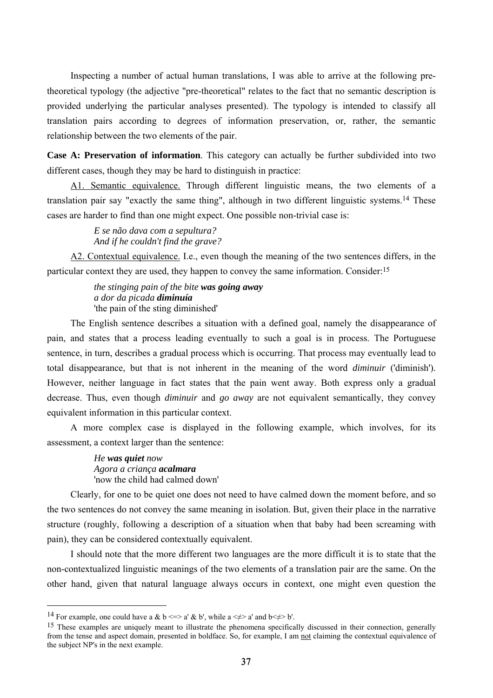Inspecting a number of actual human translations, I was able to arrive at the following pretheoretical typology (the adjective "pre-theoretical" relates to the fact that no semantic description is provided underlying the particular analyses presented). The typology is intended to classify all translation pairs according to degrees of information preservation, or, rather, the semantic relationship between the two elements of the pair.

**Case A: Preservation of information**. This category can actually be further subdivided into two different cases, though they may be hard to distinguish in practice:

A1. Semantic equivalence. Through different linguistic means, the two elements of a translation pair say "exactly the same thing", although in two different linguistic systems.14 These cases are harder to find than one might expect. One possible non-trivial case is:

> *E se não dava com a sepultura? And if he couldn't find the grave?*

A2. Contextual equivalence. I.e., even though the meaning of the two sentences differs, in the particular context they are used, they happen to convey the same information. Consider:15

> *the stinging pain of the bite was going away a dor da picada diminuía*  'the pain of the sting diminished'

The English sentence describes a situation with a defined goal, namely the disappearance of pain, and states that a process leading eventually to such a goal is in process. The Portuguese sentence, in turn, describes a gradual process which is occurring. That process may eventually lead to total disappearance, but that is not inherent in the meaning of the word *diminuir* ('diminish'). However, neither language in fact states that the pain went away. Both express only a gradual decrease. Thus, even though *diminuir* and *go away* are not equivalent semantically, they convey equivalent information in this particular context.

A more complex case is displayed in the following example, which involves, for its assessment, a context larger than the sentence:

> *He was quiet now Agora a criança acalmara* 'now the child had calmed down'

Clearly, for one to be quiet one does not need to have calmed down the moment before, and so the two sentences do not convey the same meaning in isolation. But, given their place in the narrative structure (roughly, following a description of a situation when that baby had been screaming with pain), they can be considered contextually equivalent.

I should note that the more different two languages are the more difficult it is to state that the non-contextualized linguistic meanings of the two elements of a translation pair are the same. On the other hand, given that natural language always occurs in context, one might even question the

<sup>&</sup>lt;sup>14</sup> For example, one could have a & b <=> a' & b', while a < $\neq$ > a' and b < $\neq$  b'.

<sup>&</sup>lt;sup>15</sup> These examples are uniquely meant to illustrate the phenomena specifically discussed in their connection, generally from the tense and aspect domain, presented in boldface. So, for example, I am not claiming the contextual equivalence of the subject NP's in the next example.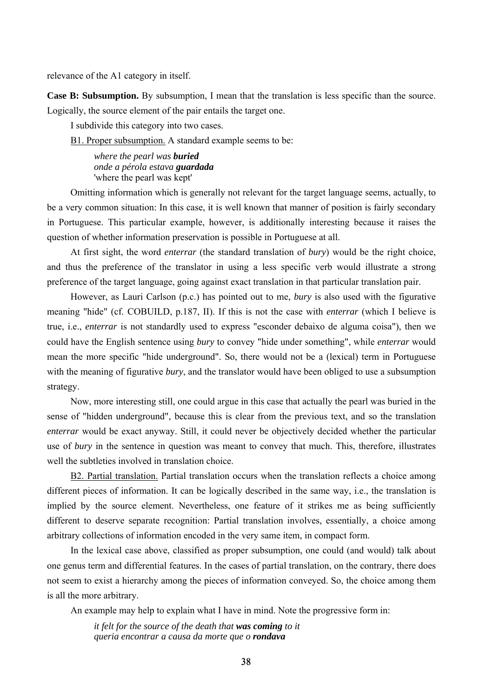relevance of the A1 category in itself.

**Case B: Subsumption.** By subsumption, I mean that the translation is less specific than the source. Logically, the source element of the pair entails the target one.

I subdivide this category into two cases.

B1. Proper subsumption. A standard example seems to be:

*where the pearl was buried onde a pérola estava guardada* 'where the pearl was kept'

Omitting information which is generally not relevant for the target language seems, actually, to be a very common situation: In this case, it is well known that manner of position is fairly secondary in Portuguese. This particular example, however, is additionally interesting because it raises the question of whether information preservation is possible in Portuguese at all.

At first sight, the word *enterrar* (the standard translation of *bury*) would be the right choice, and thus the preference of the translator in using a less specific verb would illustrate a strong preference of the target language, going against exact translation in that particular translation pair.

However, as Lauri Carlson (p.c.) has pointed out to me, *bury* is also used with the figurative meaning "hide" (cf. COBUILD, p.187, II). If this is not the case with *enterrar* (which I believe is true, i.e., *enterrar* is not standardly used to express "esconder debaixo de alguma coisa"), then we could have the English sentence using *bury* to convey "hide under something", while *enterrar* would mean the more specific "hide underground". So, there would not be a (lexical) term in Portuguese with the meaning of figurative *bury*, and the translator would have been obliged to use a subsumption strategy.

Now, more interesting still, one could argue in this case that actually the pearl was buried in the sense of "hidden underground", because this is clear from the previous text, and so the translation *enterrar* would be exact anyway. Still, it could never be objectively decided whether the particular use of *bury* in the sentence in question was meant to convey that much. This, therefore, illustrates well the subtleties involved in translation choice.

B2. Partial translation. Partial translation occurs when the translation reflects a choice among different pieces of information. It can be logically described in the same way, i.e., the translation is implied by the source element. Nevertheless, one feature of it strikes me as being sufficiently different to deserve separate recognition: Partial translation involves, essentially, a choice among arbitrary collections of information encoded in the very same item, in compact form.

In the lexical case above, classified as proper subsumption, one could (and would) talk about one genus term and differential features. In the cases of partial translation, on the contrary, there does not seem to exist a hierarchy among the pieces of information conveyed. So, the choice among them is all the more arbitrary.

An example may help to explain what I have in mind. Note the progressive form in:

*it felt for the source of the death that was coming to it queria encontrar a causa da morte que o rondava*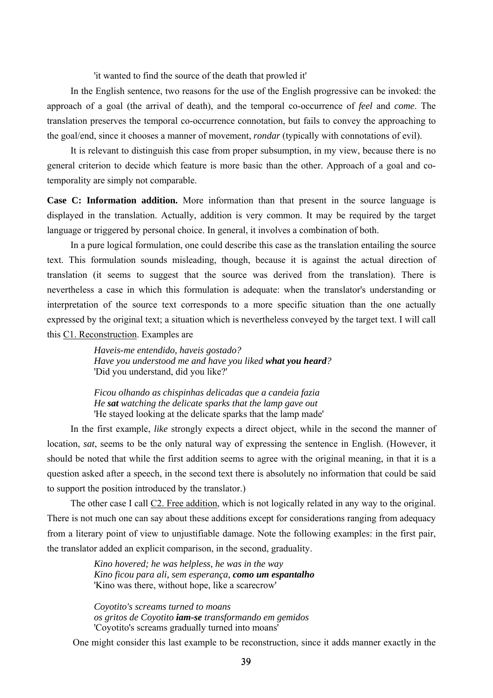'it wanted to find the source of the death that prowled it'

In the English sentence, two reasons for the use of the English progressive can be invoked: the approach of a goal (the arrival of death), and the temporal co-occurrence of *feel* and *come*. The translation preserves the temporal co-occurrence connotation, but fails to convey the approaching to the goal/end, since it chooses a manner of movement, *rondar* (typically with connotations of evil).

It is relevant to distinguish this case from proper subsumption, in my view, because there is no general criterion to decide which feature is more basic than the other. Approach of a goal and cotemporality are simply not comparable.

**Case C: Information addition.** More information than that present in the source language is displayed in the translation. Actually, addition is very common. It may be required by the target language or triggered by personal choice. In general, it involves a combination of both.

In a pure logical formulation, one could describe this case as the translation entailing the source text. This formulation sounds misleading, though, because it is against the actual direction of translation (it seems to suggest that the source was derived from the translation). There is nevertheless a case in which this formulation is adequate: when the translator's understanding or interpretation of the source text corresponds to a more specific situation than the one actually expressed by the original text; a situation which is nevertheless conveyed by the target text. I will call this C1. Reconstruction. Examples are

> *Haveis-me entendido, haveis gostado? Have you understood me and have you liked what you heard?*  'Did you understand, did you like?'

*Ficou olhando as chispinhas delicadas que a candeia fazia He sat watching the delicate sparks that the lamp gave out*  'He stayed looking at the delicate sparks that the lamp made'

In the first example, *like* strongly expects a direct object, while in the second the manner of location, *sat*, seems to be the only natural way of expressing the sentence in English. (However, it should be noted that while the first addition seems to agree with the original meaning, in that it is a question asked after a speech, in the second text there is absolutely no information that could be said to support the position introduced by the translator.)

The other case I call C2. Free addition, which is not logically related in any way to the original. There is not much one can say about these additions except for considerations ranging from adequacy from a literary point of view to unjustifiable damage. Note the following examples: in the first pair, the translator added an explicit comparison, in the second, graduality.

> *Kino hovered; he was helpless, he was in the way Kino ficou para ali, sem esperança, como um espantalho* 'Kino was there, without hope, like a scarecrow'

*Coyotito's screams turned to moans os gritos de Coyotito iam-se transformando em gemidos*  'Coyotito's screams gradually turned into moans'

One might consider this last example to be reconstruction, since it adds manner exactly in the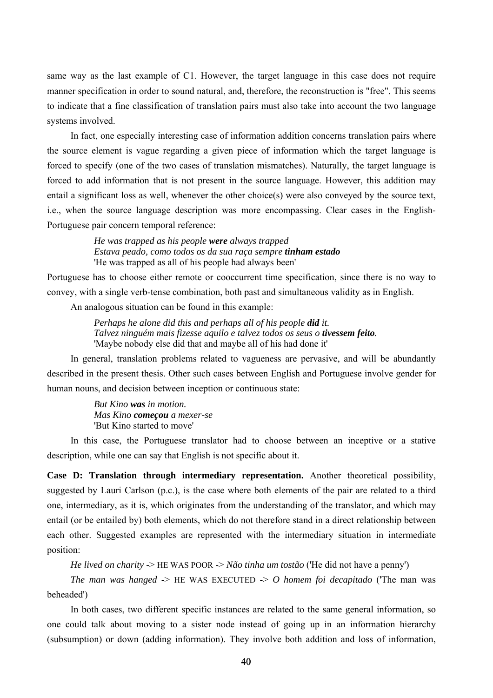same way as the last example of C1. However, the target language in this case does not require manner specification in order to sound natural, and, therefore, the reconstruction is "free". This seems to indicate that a fine classification of translation pairs must also take into account the two language systems involved.

In fact, one especially interesting case of information addition concerns translation pairs where the source element is vague regarding a given piece of information which the target language is forced to specify (one of the two cases of translation mismatches). Naturally, the target language is forced to add information that is not present in the source language. However, this addition may entail a significant loss as well, whenever the other choice(s) were also conveyed by the source text, i.e., when the source language description was more encompassing. Clear cases in the English-Portuguese pair concern temporal reference:

> *He was trapped as his people were always trapped Estava peado, como todos os da sua raça sempre tinham estado*  'He was trapped as all of his people had always been'

Portuguese has to choose either remote or cooccurrent time specification, since there is no way to convey, with a single verb-tense combination, both past and simultaneous validity as in English.

An analogous situation can be found in this example:

*Perhaps he alone did this and perhaps all of his people did it. Talvez ninguém mais fizesse aquilo e talvez todos os seus o tivessem feito.*  'Maybe nobody else did that and maybe all of his had done it'

In general, translation problems related to vagueness are pervasive, and will be abundantly described in the present thesis. Other such cases between English and Portuguese involve gender for human nouns, and decision between inception or continuous state:

> *But Kino was in motion. Mas Kino começou a mexer-se*  'But Kino started to move'

In this case, the Portuguese translator had to choose between an inceptive or a stative description, while one can say that English is not specific about it.

**Case D: Translation through intermediary representation.** Another theoretical possibility, suggested by Lauri Carlson (p.c.), is the case where both elements of the pair are related to a third one, intermediary, as it is, which originates from the understanding of the translator, and which may entail (or be entailed by) both elements, which do not therefore stand in a direct relationship between each other. Suggested examples are represented with the intermediary situation in intermediate position:

```
He lived on charity -> HE WAS POOR -> Não tinha um tostão ('He did not have a penny')
```
*The man was hanged*  $\rightarrow$  HE WAS EXECUTED  $\rightarrow$  *O homem foi decapitado* (The man was beheaded')

In both cases, two different specific instances are related to the same general information, so one could talk about moving to a sister node instead of going up in an information hierarchy (subsumption) or down (adding information). They involve both addition and loss of information,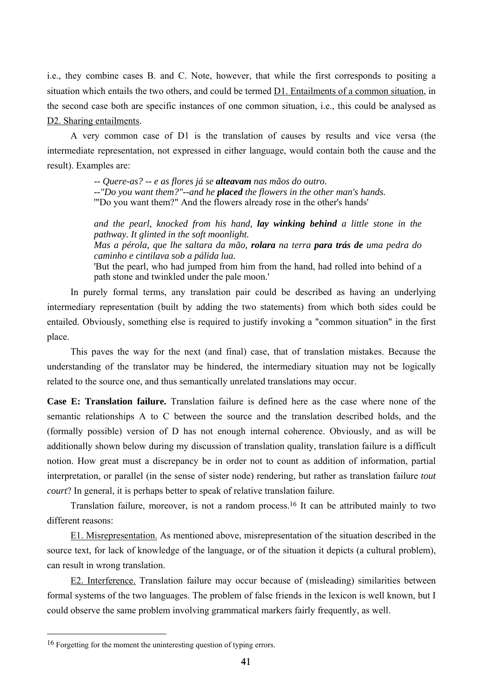i.e., they combine cases B. and C. Note, however, that while the first corresponds to positing a situation which entails the two others, and could be termed D1. Entailments of a common situation, in the second case both are specific instances of one common situation, i.e., this could be analysed as D<sub>2</sub>. Sharing entailments.

A very common case of D1 is the translation of causes by results and vice versa (the intermediate representation, not expressed in either language, would contain both the cause and the result). Examples are:

> *-- Quere-as? -- e as flores já se alteavam nas mãos do outro. --"Do you want them?"--and he placed the flowers in the other man's hands.*  '"Do you want them?" And the flowers already rose in the other's hands'

*and the pearl, knocked from his hand, lay winking behind a little stone in the pathway. It glinted in the soft moonlight.* 

*Mas a pérola, que lhe saltara da mão, rolara na terra para trás de uma pedra do caminho e cintilava sob a pálida lua.* 

'But the pearl, who had jumped from him from the hand, had rolled into behind of a path stone and twinkled under the pale moon.'

In purely formal terms, any translation pair could be described as having an underlying intermediary representation (built by adding the two statements) from which both sides could be entailed. Obviously, something else is required to justify invoking a "common situation" in the first place.

This paves the way for the next (and final) case, that of translation mistakes. Because the understanding of the translator may be hindered, the intermediary situation may not be logically related to the source one, and thus semantically unrelated translations may occur.

**Case E: Translation failure.** Translation failure is defined here as the case where none of the semantic relationships A to C between the source and the translation described holds, and the (formally possible) version of D has not enough internal coherence. Obviously, and as will be additionally shown below during my discussion of translation quality, translation failure is a difficult notion. How great must a discrepancy be in order not to count as addition of information, partial interpretation, or parallel (in the sense of sister node) rendering, but rather as translation failure *tout court*? In general, it is perhaps better to speak of relative translation failure.

Translation failure, moreover, is not a random process.16 It can be attributed mainly to two different reasons:

E1. Misrepresentation. As mentioned above, misrepresentation of the situation described in the source text, for lack of knowledge of the language, or of the situation it depicts (a cultural problem), can result in wrong translation.

E2. Interference. Translation failure may occur because of (misleading) similarities between formal systems of the two languages. The problem of false friends in the lexicon is well known, but I could observe the same problem involving grammatical markers fairly frequently, as well.

<sup>16</sup> Forgetting for the moment the uninteresting question of typing errors.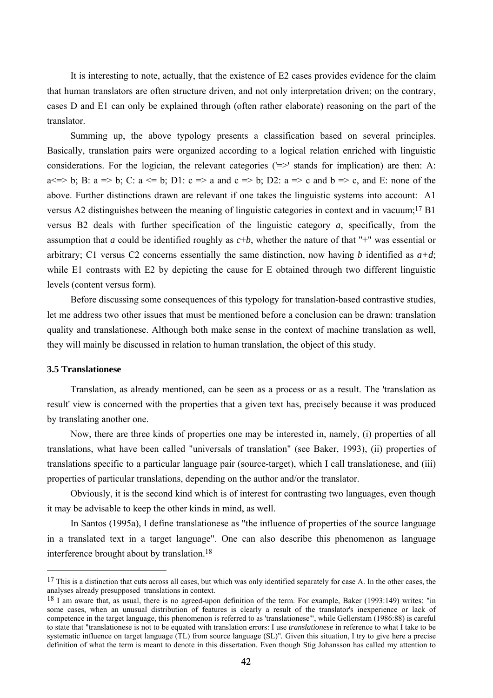It is interesting to note, actually, that the existence of E2 cases provides evidence for the claim that human translators are often structure driven, and not only interpretation driven; on the contrary, cases D and E1 can only be explained through (often rather elaborate) reasoning on the part of the translator.

Summing up, the above typology presents a classification based on several principles. Basically, translation pairs were organized according to a logical relation enriched with linguistic considerations. For the logician, the relevant categories  $(>=)$  stands for implication) are then: A:  $a \le b$ ; B:  $a \le b$ ; C:  $a \le b$ ; D1:  $c \le a$  and  $c \le b$ ; D2:  $a \le c$  and  $b \le c$ , and E: none of the above. Further distinctions drawn are relevant if one takes the linguistic systems into account: A1 versus A2 distinguishes between the meaning of linguistic categories in context and in vacuum;17 B1 versus B2 deals with further specification of the linguistic category *a*, specifically, from the assumption that *a* could be identified roughly as *c*+*b*, whether the nature of that "+" was essential or arbitrary; C1 versus C2 concerns essentially the same distinction, now having *b* identified as  $a+d$ ; while E1 contrasts with E2 by depicting the cause for E obtained through two different linguistic levels (content versus form).

Before discussing some consequences of this typology for translation-based contrastive studies, let me address two other issues that must be mentioned before a conclusion can be drawn: translation quality and translationese. Although both make sense in the context of machine translation as well, they will mainly be discussed in relation to human translation, the object of this study.

#### **3.5 Translationese**

 $\overline{a}$ 

Translation, as already mentioned, can be seen as a process or as a result. The 'translation as result' view is concerned with the properties that a given text has, precisely because it was produced by translating another one.

Now, there are three kinds of properties one may be interested in, namely, (i) properties of all translations, what have been called "universals of translation" (see Baker, 1993), (ii) properties of translations specific to a particular language pair (source-target), which I call translationese, and (iii) properties of particular translations, depending on the author and/or the translator.

Obviously, it is the second kind which is of interest for contrasting two languages, even though it may be advisable to keep the other kinds in mind, as well.

In Santos (1995a), I define translationese as "the influence of properties of the source language in a translated text in a target language". One can also describe this phenomenon as language interference brought about by translation.18

 $17$  This is a distinction that cuts across all cases, but which was only identified separately for case A. In the other cases, the analyses already presupposed translations in context.

<sup>18</sup> I am aware that, as usual, there is no agreed-upon definition of the term. For example, Baker (1993:149) writes: "in some cases, when an unusual distribution of features is clearly a result of the translator's inexperience or lack of competence in the target language, this phenomenon is referred to as 'translationese'", while Gellerstam (1986:88) is careful to state that "translationese is not to be equated with translation errors: I use *translationese* in reference to what I take to be systematic influence on target language (TL) from source language (SL)"*.* Given this situation, I try to give here a precise definition of what the term is meant to denote in this dissertation. Even though Stig Johansson has called my attention to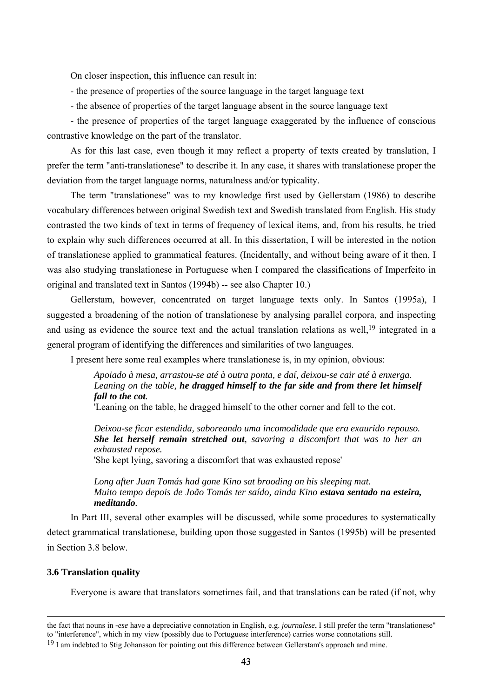On closer inspection, this influence can result in:

- the presence of properties of the source language in the target language text
- the absence of properties of the target language absent in the source language text

- the presence of properties of the target language exaggerated by the influence of conscious contrastive knowledge on the part of the translator.

As for this last case, even though it may reflect a property of texts created by translation, I prefer the term "anti-translationese" to describe it. In any case, it shares with translationese proper the deviation from the target language norms, naturalness and/or typicality.

The term "translationese" was to my knowledge first used by Gellerstam (1986) to describe vocabulary differences between original Swedish text and Swedish translated from English. His study contrasted the two kinds of text in terms of frequency of lexical items, and, from his results, he tried to explain why such differences occurred at all. In this dissertation, I will be interested in the notion of translationese applied to grammatical features. (Incidentally, and without being aware of it then, I was also studying translationese in Portuguese when I compared the classifications of Imperfeito in original and translated text in Santos (1994b) -- see also Chapter 10.)

Gellerstam, however, concentrated on target language texts only. In Santos (1995a), I suggested a broadening of the notion of translationese by analysing parallel corpora, and inspecting and using as evidence the source text and the actual translation relations as well,<sup>19</sup> integrated in a general program of identifying the differences and similarities of two languages.

I present here some real examples where translationese is, in my opinion, obvious:

*Apoiado à mesa, arrastou-se até à outra ponta, e daí, deixou-se cair até à enxerga. Leaning on the table, he dragged himself to the far side and from there let himself fall to the cot.* 

'Leaning on the table, he dragged himself to the other corner and fell to the cot.

*Deixou-se ficar estendida, saboreando uma incomodidade que era exaurido repouso. She let herself remain stretched out, savoring a discomfort that was to her an exhausted repose.* 

'She kept lying, savoring a discomfort that was exhausted repose'

*Long after Juan Tomás had gone Kino sat brooding on his sleeping mat. Muito tempo depois de João Tomás ter saído, ainda Kino estava sentado na esteira, meditando.*

In Part III, several other examples will be discussed, while some procedures to systematically detect grammatical translationese, building upon those suggested in Santos (1995b) will be presented in Section 3.8 below.

### **3.6 Translation quality**

Everyone is aware that translators sometimes fail, and that translations can be rated (if not, why

the fact that nouns in *-ese* have a depreciative connotation in English, e.g. *journalese*, I still prefer the term "translationese" to "interference", which in my view (possibly due to Portuguese interference) carries worse connotations still. <sup>19</sup> I am indebted to Stig Johansson for pointing out this difference between Gellerstam's approach and mine.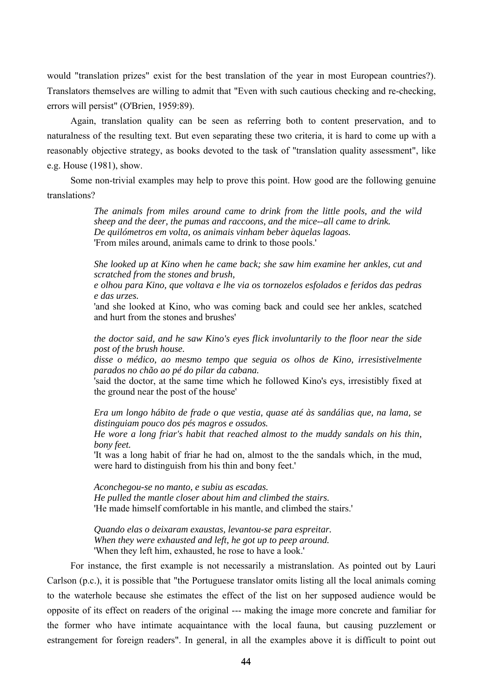would "translation prizes" exist for the best translation of the year in most European countries?). Translators themselves are willing to admit that "Even with such cautious checking and re-checking, errors will persist" (O'Brien, 1959:89).

Again, translation quality can be seen as referring both to content preservation, and to naturalness of the resulting text. But even separating these two criteria, it is hard to come up with a reasonably objective strategy, as books devoted to the task of "translation quality assessment", like e.g. House (1981), show.

Some non-trivial examples may help to prove this point. How good are the following genuine translations?

> *The animals from miles around came to drink from the little pools, and the wild sheep and the deer, the pumas and raccoons, and the mice--all came to drink. De quilómetros em volta, os animais vinham beber àquelas lagoas.*  'From miles around, animals came to drink to those pools.'

> *She looked up at Kino when he came back; she saw him examine her ankles, cut and scratched from the stones and brush,*

> *e olhou para Kino, que voltava e lhe via os tornozelos esfolados e feridos das pedras e das urzes.*

> 'and she looked at Kino, who was coming back and could see her ankles, scatched and hurt from the stones and brushes'

> *the doctor said, and he saw Kino's eyes flick involuntarily to the floor near the side post of the brush house.*

> *disse o médico, ao mesmo tempo que seguia os olhos de Kino, irresistivelmente parados no chão ao pé do pilar da cabana.*

> 'said the doctor, at the same time which he followed Kino's eys, irresistibly fixed at the ground near the post of the house'

> *Era um longo hábito de frade o que vestia, quase até às sandálias que, na lama, se distinguiam pouco dos pés magros e ossudos.*

> *He wore a long friar's habit that reached almost to the muddy sandals on his thin, bony feet.*

> 'It was a long habit of friar he had on, almost to the the sandals which, in the mud, were hard to distinguish from his thin and bony feet.'

*Aconchegou-se no manto, e subiu as escadas. He pulled the mantle closer about him and climbed the stairs.*  'He made himself comfortable in his mantle, and climbed the stairs.'

*Quando elas o deixaram exaustas, levantou-se para espreitar. When they were exhausted and left, he got up to peep around.*  'When they left him, exhausted, he rose to have a look.'

For instance, the first example is not necessarily a mistranslation. As pointed out by Lauri Carlson (p.c.), it is possible that "the Portuguese translator omits listing all the local animals coming to the waterhole because she estimates the effect of the list on her supposed audience would be opposite of its effect on readers of the original --- making the image more concrete and familiar for the former who have intimate acquaintance with the local fauna, but causing puzzlement or estrangement for foreign readers". In general, in all the examples above it is difficult to point out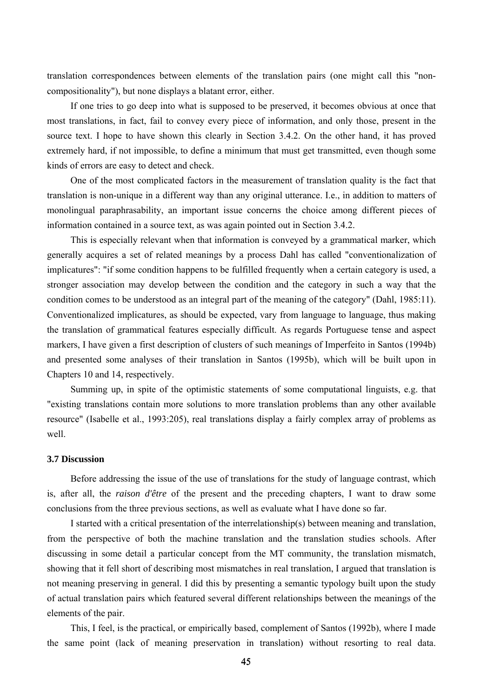translation correspondences between elements of the translation pairs (one might call this "noncompositionality"), but none displays a blatant error, either.

If one tries to go deep into what is supposed to be preserved, it becomes obvious at once that most translations, in fact, fail to convey every piece of information, and only those, present in the source text. I hope to have shown this clearly in Section 3.4.2. On the other hand, it has proved extremely hard, if not impossible, to define a minimum that must get transmitted, even though some kinds of errors are easy to detect and check.

One of the most complicated factors in the measurement of translation quality is the fact that translation is non-unique in a different way than any original utterance. I.e., in addition to matters of monolingual paraphrasability, an important issue concerns the choice among different pieces of information contained in a source text, as was again pointed out in Section 3.4.2.

This is especially relevant when that information is conveyed by a grammatical marker, which generally acquires a set of related meanings by a process Dahl has called "conventionalization of implicatures": "if some condition happens to be fulfilled frequently when a certain category is used, a stronger association may develop between the condition and the category in such a way that the condition comes to be understood as an integral part of the meaning of the category" (Dahl, 1985:11). Conventionalized implicatures, as should be expected, vary from language to language, thus making the translation of grammatical features especially difficult. As regards Portuguese tense and aspect markers, I have given a first description of clusters of such meanings of Imperfeito in Santos (1994b) and presented some analyses of their translation in Santos (1995b), which will be built upon in Chapters 10 and 14, respectively.

Summing up, in spite of the optimistic statements of some computational linguists, e.g. that "existing translations contain more solutions to more translation problems than any other available resource" (Isabelle et al., 1993:205), real translations display a fairly complex array of problems as well

#### **3.7 Discussion**

Before addressing the issue of the use of translations for the study of language contrast, which is, after all, the *raison d'être* of the present and the preceding chapters, I want to draw some conclusions from the three previous sections, as well as evaluate what I have done so far.

I started with a critical presentation of the interrelationship(s) between meaning and translation, from the perspective of both the machine translation and the translation studies schools. After discussing in some detail a particular concept from the MT community, the translation mismatch, showing that it fell short of describing most mismatches in real translation, I argued that translation is not meaning preserving in general. I did this by presenting a semantic typology built upon the study of actual translation pairs which featured several different relationships between the meanings of the elements of the pair.

This, I feel, is the practical, or empirically based, complement of Santos (1992b), where I made the same point (lack of meaning preservation in translation) without resorting to real data.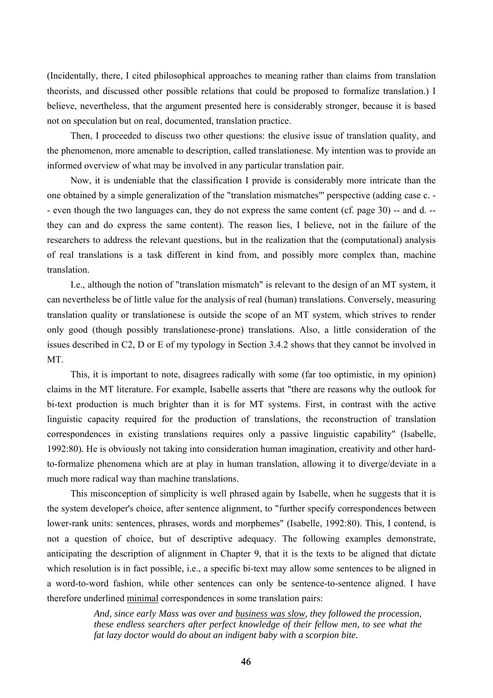(Incidentally, there, I cited philosophical approaches to meaning rather than claims from translation theorists, and discussed other possible relations that could be proposed to formalize translation.) I believe, nevertheless, that the argument presented here is considerably stronger, because it is based not on speculation but on real, documented, translation practice.

Then, I proceeded to discuss two other questions: the elusive issue of translation quality, and the phenomenon, more amenable to description, called translationese. My intention was to provide an informed overview of what may be involved in any particular translation pair.

Now, it is undeniable that the classification I provide is considerably more intricate than the one obtained by a simple generalization of the "translation mismatches"' perspective (adding case c. - - even though the two languages can, they do not express the same content (cf. page 30) -- and d. - they can and do express the same content). The reason lies, I believe, not in the failure of the researchers to address the relevant questions, but in the realization that the (computational) analysis of real translations is a task different in kind from, and possibly more complex than, machine translation.

I.e., although the notion of "translation mismatch" is relevant to the design of an MT system, it can nevertheless be of little value for the analysis of real (human) translations. Conversely, measuring translation quality or translationese is outside the scope of an MT system, which strives to render only good (though possibly translationese-prone) translations. Also, a little consideration of the issues described in C2, D or E of my typology in Section 3.4.2 shows that they cannot be involved in MT.

This, it is important to note, disagrees radically with some (far too optimistic, in my opinion) claims in the MT literature. For example, Isabelle asserts that "there are reasons why the outlook for bi-text production is much brighter than it is for MT systems. First, in contrast with the active linguistic capacity required for the production of translations, the reconstruction of translation correspondences in existing translations requires only a passive linguistic capability" (Isabelle, 1992:80)*.* He is obviously not taking into consideration human imagination, creativity and other hardto-formalize phenomena which are at play in human translation, allowing it to diverge/deviate in a much more radical way than machine translations.

This misconception of simplicity is well phrased again by Isabelle, when he suggests that it is the system developer's choice, after sentence alignment, to "further specify correspondences between lower-rank units: sentences, phrases, words and morphemes" (Isabelle, 1992:80). This, I contend, is not a question of choice, but of descriptive adequacy. The following examples demonstrate, anticipating the description of alignment in Chapter 9, that it is the texts to be aligned that dictate which resolution is in fact possible, i.e., a specific bi-text may allow some sentences to be aligned in a word-to-word fashion, while other sentences can only be sentence-to-sentence aligned. I have therefore underlined minimal correspondences in some translation pairs:

> *And, since early Mass was over and business was slow, they followed the procession, these endless searchers after perfect knowledge of their fellow men, to see what the fat lazy doctor would do about an indigent baby with a scorpion bite.*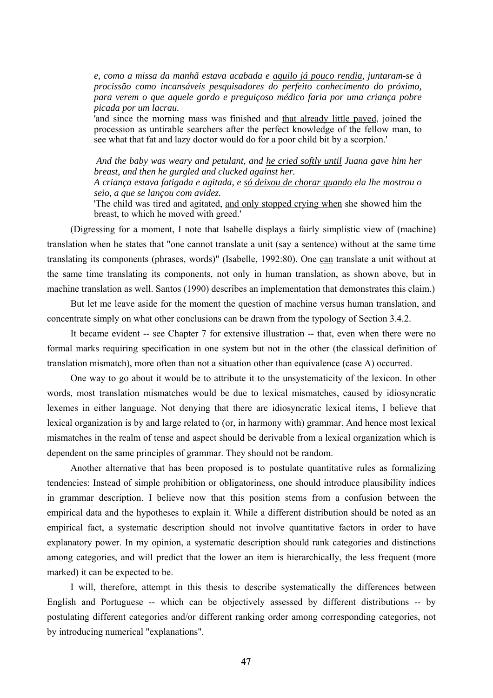*e, como a missa da manhã estava acabada e aquilo já pouco rendia, juntaram-se à procissão como incansáveis pesquisadores do perfeito conhecimento do próximo, para verem o que aquele gordo e preguiçoso médico faria por uma criança pobre picada por um lacrau.* 

'and since the morning mass was finished and that already little payed, joined the procession as untirable searchers after the perfect knowledge of the fellow man, to see what that fat and lazy doctor would do for a poor child bit by a scorpion.'

 *And the baby was weary and petulant, and he cried softly until Juana gave him her breast, and then he gurgled and clucked against her.* 

*A criança estava fatigada e agitada, e só deixou de chorar quando ela lhe mostrou o seio, a que se lançou com avidez.* 

'The child was tired and agitated, and only stopped crying when she showed him the breast, to which he moved with greed.'

(Digressing for a moment, I note that Isabelle displays a fairly simplistic view of (machine) translation when he states that "one cannot translate a unit (say a sentence) without at the same time translating its components (phrases, words)" (Isabelle, 1992:80). One can translate a unit without at the same time translating its components, not only in human translation, as shown above, but in machine translation as well. Santos (1990) describes an implementation that demonstrates this claim.)

But let me leave aside for the moment the question of machine versus human translation, and concentrate simply on what other conclusions can be drawn from the typology of Section 3.4.2.

It became evident -- see Chapter 7 for extensive illustration -- that, even when there were no formal marks requiring specification in one system but not in the other (the classical definition of translation mismatch), more often than not a situation other than equivalence (case A) occurred.

One way to go about it would be to attribute it to the unsystematicity of the lexicon. In other words, most translation mismatches would be due to lexical mismatches, caused by idiosyncratic lexemes in either language. Not denying that there are idiosyncratic lexical items, I believe that lexical organization is by and large related to (or, in harmony with) grammar. And hence most lexical mismatches in the realm of tense and aspect should be derivable from a lexical organization which is dependent on the same principles of grammar. They should not be random.

Another alternative that has been proposed is to postulate quantitative rules as formalizing tendencies: Instead of simple prohibition or obligatoriness, one should introduce plausibility indices in grammar description. I believe now that this position stems from a confusion between the empirical data and the hypotheses to explain it. While a different distribution should be noted as an empirical fact, a systematic description should not involve quantitative factors in order to have explanatory power. In my opinion, a systematic description should rank categories and distinctions among categories, and will predict that the lower an item is hierarchically, the less frequent (more marked) it can be expected to be.

I will, therefore, attempt in this thesis to describe systematically the differences between English and Portuguese -- which can be objectively assessed by different distributions -- by postulating different categories and/or different ranking order among corresponding categories, not by introducing numerical "explanations".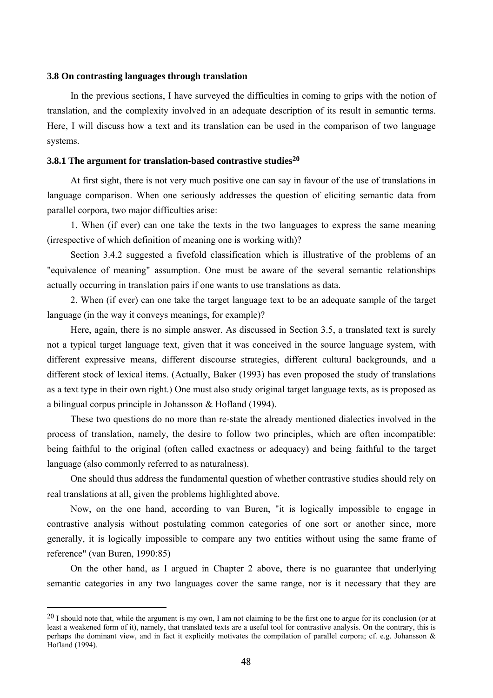## **3.8 On contrasting languages through translation**

In the previous sections, I have surveyed the difficulties in coming to grips with the notion of translation, and the complexity involved in an adequate description of its result in semantic terms. Here, I will discuss how a text and its translation can be used in the comparison of two language systems.

## **3.8.1 The argument for translation-based contrastive studies20**

At first sight, there is not very much positive one can say in favour of the use of translations in language comparison. When one seriously addresses the question of eliciting semantic data from parallel corpora, two major difficulties arise:

1. When (if ever) can one take the texts in the two languages to express the same meaning (irrespective of which definition of meaning one is working with)?

Section 3.4.2 suggested a fivefold classification which is illustrative of the problems of an "equivalence of meaning" assumption. One must be aware of the several semantic relationships actually occurring in translation pairs if one wants to use translations as data.

2. When (if ever) can one take the target language text to be an adequate sample of the target language (in the way it conveys meanings, for example)?

Here, again, there is no simple answer. As discussed in Section 3.5, a translated text is surely not a typical target language text, given that it was conceived in the source language system, with different expressive means, different discourse strategies, different cultural backgrounds, and a different stock of lexical items. (Actually, Baker (1993) has even proposed the study of translations as a text type in their own right.) One must also study original target language texts, as is proposed as a bilingual corpus principle in Johansson & Hofland (1994).

These two questions do no more than re-state the already mentioned dialectics involved in the process of translation, namely, the desire to follow two principles, which are often incompatible: being faithful to the original (often called exactness or adequacy) and being faithful to the target language (also commonly referred to as naturalness).

One should thus address the fundamental question of whether contrastive studies should rely on real translations at all, given the problems highlighted above.

Now, on the one hand, according to van Buren, "it is logically impossible to engage in contrastive analysis without postulating common categories of one sort or another since, more generally, it is logically impossible to compare any two entities without using the same frame of reference" (van Buren, 1990:85)

On the other hand, as I argued in Chapter 2 above, there is no guarantee that underlying semantic categories in any two languages cover the same range, nor is it necessary that they are

 $20$  I should note that, while the argument is my own, I am not claiming to be the first one to argue for its conclusion (or at least a weakened form of it), namely, that translated texts are a useful tool for contrastive analysis. On the contrary, this is perhaps the dominant view, and in fact it explicitly motivates the compilation of parallel corpora; cf. e.g. Johansson & Hofland (1994).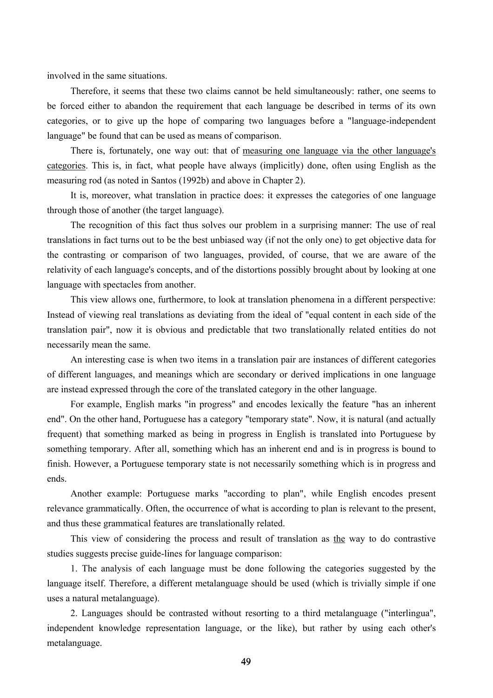involved in the same situations.

Therefore, it seems that these two claims cannot be held simultaneously: rather, one seems to be forced either to abandon the requirement that each language be described in terms of its own categories, or to give up the hope of comparing two languages before a "language-independent language" be found that can be used as means of comparison.

There is, fortunately, one way out: that of measuring one language via the other language's categories. This is, in fact, what people have always (implicitly) done, often using English as the measuring rod (as noted in Santos (1992b) and above in Chapter 2).

It is, moreover, what translation in practice does: it expresses the categories of one language through those of another (the target language).

The recognition of this fact thus solves our problem in a surprising manner: The use of real translations in fact turns out to be the best unbiased way (if not the only one) to get objective data for the contrasting or comparison of two languages, provided, of course, that we are aware of the relativity of each language's concepts, and of the distortions possibly brought about by looking at one language with spectacles from another.

This view allows one, furthermore, to look at translation phenomena in a different perspective: Instead of viewing real translations as deviating from the ideal of "equal content in each side of the translation pair", now it is obvious and predictable that two translationally related entities do not necessarily mean the same.

An interesting case is when two items in a translation pair are instances of different categories of different languages, and meanings which are secondary or derived implications in one language are instead expressed through the core of the translated category in the other language.

For example, English marks "in progress" and encodes lexically the feature "has an inherent end". On the other hand, Portuguese has a category "temporary state". Now, it is natural (and actually frequent) that something marked as being in progress in English is translated into Portuguese by something temporary. After all, something which has an inherent end and is in progress is bound to finish. However, a Portuguese temporary state is not necessarily something which is in progress and ends.

Another example: Portuguese marks "according to plan", while English encodes present relevance grammatically. Often, the occurrence of what is according to plan is relevant to the present, and thus these grammatical features are translationally related.

This view of considering the process and result of translation as the way to do contrastive studies suggests precise guide-lines for language comparison:

1. The analysis of each language must be done following the categories suggested by the language itself. Therefore, a different metalanguage should be used (which is trivially simple if one uses a natural metalanguage).

2. Languages should be contrasted without resorting to a third metalanguage ("interlingua", independent knowledge representation language, or the like), but rather by using each other's metalanguage.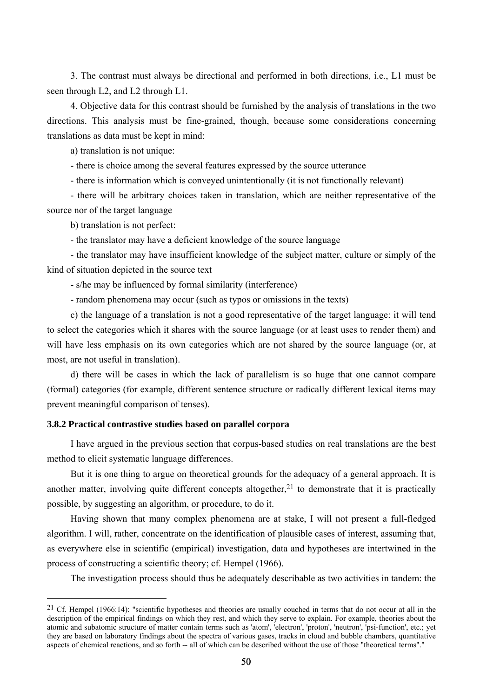3. The contrast must always be directional and performed in both directions, i.e., L1 must be seen through L2, and L2 through L1.

4. Objective data for this contrast should be furnished by the analysis of translations in the two directions. This analysis must be fine-grained, though, because some considerations concerning translations as data must be kept in mind:

a) translation is not unique:

- there is choice among the several features expressed by the source utterance

- there is information which is conveyed unintentionally (it is not functionally relevant)

- there will be arbitrary choices taken in translation, which are neither representative of the source nor of the target language

b) translation is not perfect:

 $\overline{a}$ 

- the translator may have a deficient knowledge of the source language

- the translator may have insufficient knowledge of the subject matter, culture or simply of the kind of situation depicted in the source text

- s/he may be influenced by formal similarity (interference)

- random phenomena may occur (such as typos or omissions in the texts)

c) the language of a translation is not a good representative of the target language: it will tend to select the categories which it shares with the source language (or at least uses to render them) and will have less emphasis on its own categories which are not shared by the source language (or, at most, are not useful in translation).

d) there will be cases in which the lack of parallelism is so huge that one cannot compare (formal) categories (for example, different sentence structure or radically different lexical items may prevent meaningful comparison of tenses).

# **3.8.2 Practical contrastive studies based on parallel corpora**

I have argued in the previous section that corpus-based studies on real translations are the best method to elicit systematic language differences.

But it is one thing to argue on theoretical grounds for the adequacy of a general approach. It is another matter, involving quite different concepts altogether, $2<sup>1</sup>$  to demonstrate that it is practically possible, by suggesting an algorithm, or procedure, to do it.

Having shown that many complex phenomena are at stake, I will not present a full-fledged algorithm. I will, rather, concentrate on the identification of plausible cases of interest, assuming that, as everywhere else in scientific (empirical) investigation, data and hypotheses are intertwined in the process of constructing a scientific theory; cf. Hempel (1966).

The investigation process should thus be adequately describable as two activities in tandem: the

<sup>&</sup>lt;sup>21</sup> Cf. Hempel (1966:14): "scientific hypotheses and theories are usually couched in terms that do not occur at all in the description of the empirical findings on which they rest, and which they serve to explain. For example, theories about the atomic and subatomic structure of matter contain terms such as 'atom', 'electron', 'proton', 'neutron', 'psi-function', etc.; yet they are based on laboratory findings about the spectra of various gases, tracks in cloud and bubble chambers, quantitative aspects of chemical reactions, and so forth -- all of which can be described without the use of those "theoretical terms"."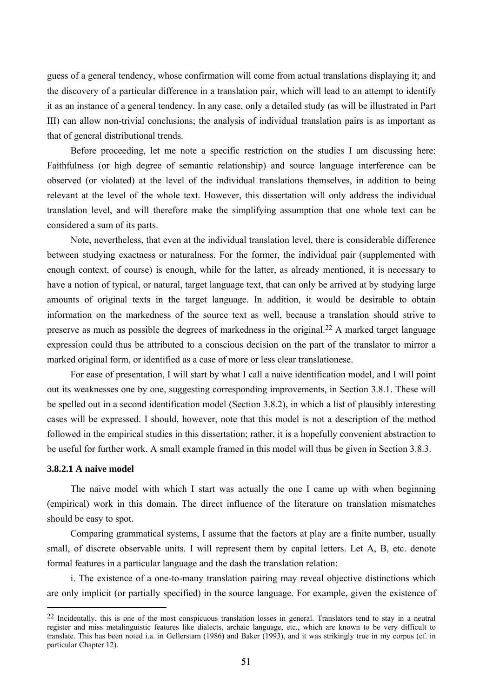guess of a general tendency, whose confirmation will come from actual translations displaying it; and the discovery of a particular difference in a translation pair, which will lead to an attempt to identify it as an instance of a general tendency. In any case, only a detailed study (as will be illustrated in Part III) can allow non-trivial conclusions; the analysis of individual translation pairs is as important as that of general distributional trends.

Before proceeding, let me note a specific restriction on the studies I am discussing here: Faithfulness (or high degree of semantic relationship) and source language interference can be observed (or violated) at the level of the individual translations themselves, in addition to being relevant at the level of the whole text. However, this dissertation will only address the individual translation level, and will therefore make the simplifying assumption that one whole text can be considered a sum of its parts.

Note, nevertheless, that even at the individual translation level, there is considerable difference between studying exactness or naturalness. For the former, the individual pair (supplemented with enough context, of course) is enough, while for the latter, as already mentioned, it is necessary to have a notion of typical, or natural, target language text, that can only be arrived at by studying large amounts of original texts in the target language. In addition, it would be desirable to obtain information on the markedness of the source text as well, because a translation should strive to preserve as much as possible the degrees of markedness in the original.22 A marked target language expression could thus be attributed to a conscious decision on the part of the translator to mirror a marked original form, or identified as a case of more or less clear translationese.

For ease of presentation, I will start by what I call a naive identification model, and I will point out its weaknesses one by one, suggesting corresponding improvements, in Section 3.8.1. These will be spelled out in a second identification model (Section 3.8.2), in which a list of plausibly interesting cases will be expressed. I should, however, note that this model is not a description of the method followed in the empirical studies in this dissertation; rather, it is a hopefully convenient abstraction to be useful for further work. A small example framed in this model will thus be given in Section 3.8.3.

# **3.8.2.1 A naive model**

 $\overline{a}$ 

The naive model with which I start was actually the one I came up with when beginning (empirical) work in this domain. The direct influence of the literature on translation mismatches should be easy to spot.

Comparing grammatical systems, I assume that the factors at play are a finite number, usually small, of discrete observable units. I will represent them by capital letters. Let A, B, etc. denote formal features in a particular language and the dash the translation relation:

i. The existence of a one-to-many translation pairing may reveal objective distinctions which are only implicit (or partially specified) in the source language. For example, given the existence of

<sup>22</sup> Incidentally, this is one of the most conspicuous translation losses in general. Translators tend to stay in a neutral register and miss metalinguistic features like dialects, archaic language, etc., which are known to be very difficult to translate. This has been noted i.a. in Gellerstam (1986) and Baker (1993), and it was strikingly true in my corpus (cf. in particular Chapter 12).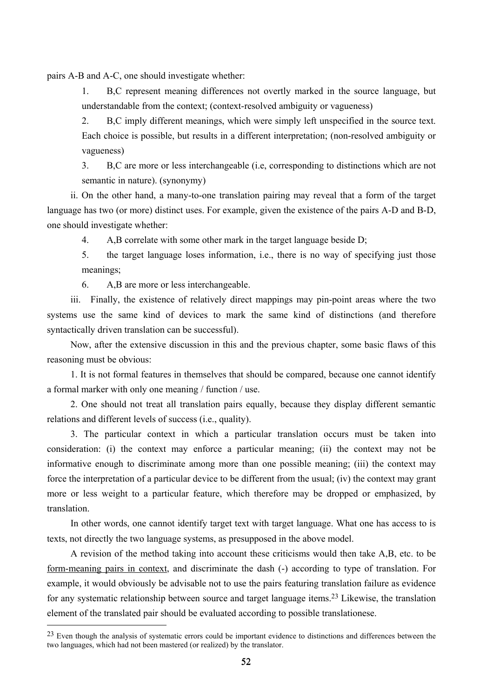pairs A-B and A-C, one should investigate whether:

1. B,C represent meaning differences not overtly marked in the source language, but understandable from the context; (context-resolved ambiguity or vagueness)

2. B,C imply different meanings, which were simply left unspecified in the source text. Each choice is possible, but results in a different interpretation; (non-resolved ambiguity or vagueness)

3. B,C are more or less interchangeable (i.e, corresponding to distinctions which are not semantic in nature). (synonymy)

ii. On the other hand, a many-to-one translation pairing may reveal that a form of the target language has two (or more) distinct uses. For example, given the existence of the pairs A-D and B-D, one should investigate whether:

4. A,B correlate with some other mark in the target language beside D;

5. the target language loses information, i.e., there is no way of specifying just those meanings;

6. A,B are more or less interchangeable.

 $\overline{a}$ 

iii. Finally, the existence of relatively direct mappings may pin-point areas where the two systems use the same kind of devices to mark the same kind of distinctions (and therefore syntactically driven translation can be successful).

Now, after the extensive discussion in this and the previous chapter, some basic flaws of this reasoning must be obvious:

1. It is not formal features in themselves that should be compared, because one cannot identify a formal marker with only one meaning / function / use.

2. One should not treat all translation pairs equally, because they display different semantic relations and different levels of success (i.e., quality).

3. The particular context in which a particular translation occurs must be taken into consideration: (i) the context may enforce a particular meaning; (ii) the context may not be informative enough to discriminate among more than one possible meaning; (iii) the context may force the interpretation of a particular device to be different from the usual; (iv) the context may grant more or less weight to a particular feature, which therefore may be dropped or emphasized, by translation.

In other words, one cannot identify target text with target language. What one has access to is texts, not directly the two language systems, as presupposed in the above model.

A revision of the method taking into account these criticisms would then take A,B, etc. to be form-meaning pairs in context, and discriminate the dash (-) according to type of translation. For example, it would obviously be advisable not to use the pairs featuring translation failure as evidence for any systematic relationship between source and target language items.23 Likewise, the translation element of the translated pair should be evaluated according to possible translationese.

<sup>&</sup>lt;sup>23</sup> Even though the analysis of systematic errors could be important evidence to distinctions and differences between the two languages, which had not been mastered (or realized) by the translator.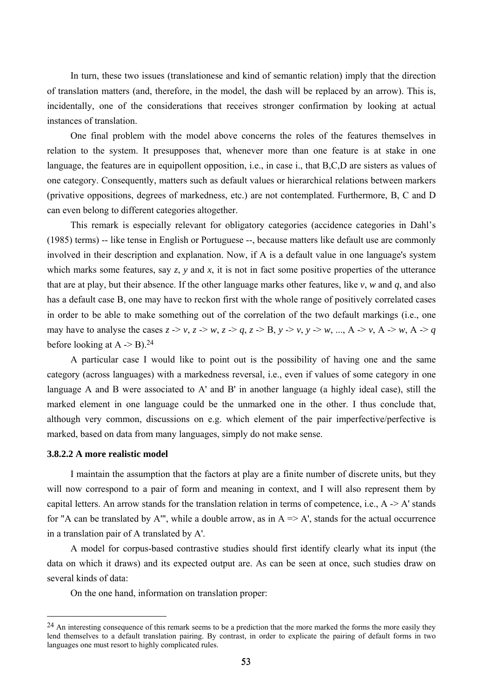In turn, these two issues (translationese and kind of semantic relation) imply that the direction of translation matters (and, therefore, in the model, the dash will be replaced by an arrow). This is, incidentally, one of the considerations that receives stronger confirmation by looking at actual instances of translation.

One final problem with the model above concerns the roles of the features themselves in relation to the system. It presupposes that, whenever more than one feature is at stake in one language, the features are in equipollent opposition, i.e., in case i., that B,C,D are sisters as values of one category. Consequently, matters such as default values or hierarchical relations between markers (privative oppositions, degrees of markedness, etc.) are not contemplated. Furthermore, B, C and D can even belong to different categories altogether.

This remark is especially relevant for obligatory categories (accidence categories in Dahl's (1985) terms) -- like tense in English or Portuguese --, because matters like default use are commonly involved in their description and explanation. Now, if A is a default value in one language's system which marks some features, say *z*, *y* and *x*, it is not in fact some positive properties of the utterance that are at play, but their absence. If the other language marks other features, like *v*, *w* and *q*, and also has a default case B, one may have to reckon first with the whole range of positively correlated cases in order to be able to make something out of the correlation of the two default markings (i.e., one may have to analyse the cases  $z \rightarrow v$ ,  $z \rightarrow w$ ,  $z \rightarrow q$ ,  $z \rightarrow B$ ,  $y \rightarrow v$ ,  $y \rightarrow w$ , ...,  $A \rightarrow v$ ,  $A \rightarrow w$ ,  $A \rightarrow q$ before looking at  $A \rightarrow B$ ).<sup>24</sup>

A particular case I would like to point out is the possibility of having one and the same category (across languages) with a markedness reversal, i.e., even if values of some category in one language A and B were associated to A' and B' in another language (a highly ideal case), still the marked element in one language could be the unmarked one in the other. I thus conclude that, although very common, discussions on e.g. which element of the pair imperfective/perfective is marked, based on data from many languages, simply do not make sense.

#### **3.8.2.2 A more realistic model**

 $\overline{a}$ 

I maintain the assumption that the factors at play are a finite number of discrete units, but they will now correspond to a pair of form and meaning in context, and I will also represent them by capital letters. An arrow stands for the translation relation in terms of competence, i.e.,  $A \rightarrow A'$  stands for "A can be translated by A"', while a double arrow, as in  $A \Rightarrow A'$ , stands for the actual occurrence in a translation pair of A translated by A'.

A model for corpus-based contrastive studies should first identify clearly what its input (the data on which it draws) and its expected output are. As can be seen at once, such studies draw on several kinds of data:

On the one hand, information on translation proper:

<sup>&</sup>lt;sup>24</sup> An interesting consequence of this remark seems to be a prediction that the more marked the forms the more easily they lend themselves to a default translation pairing. By contrast, in order to explicate the pairing of default forms in two languages one must resort to highly complicated rules.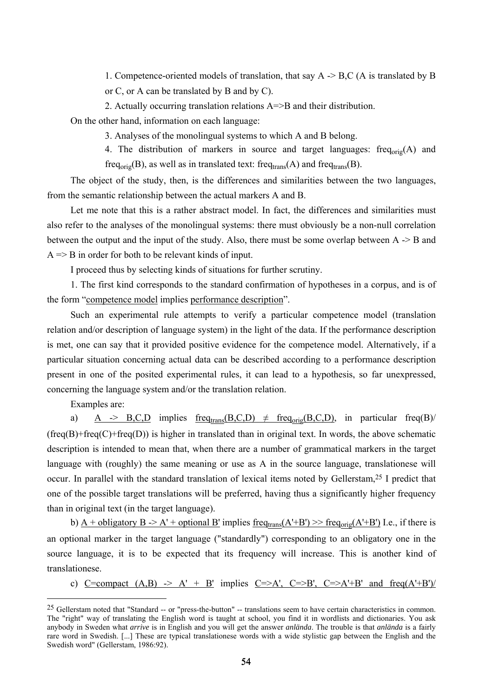1. Competence-oriented models of translation, that say A -> B,C (A is translated by B or C, or A can be translated by B and by C).

2. Actually occurring translation relations A=>B and their distribution.

On the other hand, information on each language:

3. Analyses of the monolingual systems to which A and B belong.

4. The distribution of markers in source and target languages: freq $_{\text{orig}}(A)$  and freq<sub>orig</sub>(B), as well as in translated text: freq<sub>trans</sub>(A) and freq<sub>trans</sub>(B).

The object of the study, then, is the differences and similarities between the two languages, from the semantic relationship between the actual markers A and B.

Let me note that this is a rather abstract model. In fact, the differences and similarities must also refer to the analyses of the monolingual systems: there must obviously be a non-null correlation between the output and the input of the study. Also, there must be some overlap between A -> B and  $A \Rightarrow B$  in order for both to be relevant kinds of input.

I proceed thus by selecting kinds of situations for further scrutiny.

1. The first kind corresponds to the standard confirmation of hypotheses in a corpus, and is of the form "competence model implies performance description".

Such an experimental rule attempts to verify a particular competence model (translation relation and/or description of language system) in the light of the data. If the performance description is met, one can say that it provided positive evidence for the competence model. Alternatively, if a particular situation concerning actual data can be described according to a performance description present in one of the posited experimental rules, it can lead to a hypothesis, so far unexpressed, concerning the language system and/or the translation relation.

Examples are:

 $\overline{a}$ 

a) A -> B,C,D implies  $freq_{trans}(B,C,D) \neq freq_{orig}(B,C,D)$ , in particular freq(B)/  $(frea(B)+freq(C)+freq(D))$  is higher in translated than in original text. In words, the above schematic description is intended to mean that, when there are a number of grammatical markers in the target language with (roughly) the same meaning or use as A in the source language, translationese will occur. In parallel with the standard translation of lexical items noted by Gellerstam,25 I predict that one of the possible target translations will be preferred, having thus a significantly higher frequency than in original text (in the target language).

b)  $A + obligatory B \rightarrow A' + optional B'$  implies  $freq_{trans}(A'+B') \rightarrow freq_{orig}(A'+B')$  I.e., if there is an optional marker in the target language ("standardly") corresponding to an obligatory one in the source language, it is to be expected that its frequency will increase. This is another kind of translationese.

c) C=compact  $(A,B) \rightarrow A' + B'$  implies C=>A', C=>B', C=>A'+B' and freq(A'+B')/

<sup>25</sup> Gellerstam noted that "Standard -- or "press-the-button" -- translations seem to have certain characteristics in common. The "right" way of translating the English word is taught at school, you find it in wordlists and dictionaries. You ask anybody in Sweden what *arrive* is in English and you will get the answer *anlända*. The trouble is that *anlända* is a fairly rare word in Swedish. [...] These are typical translationese words with a wide stylistic gap between the English and the Swedish word" (Gellerstam, 1986:92).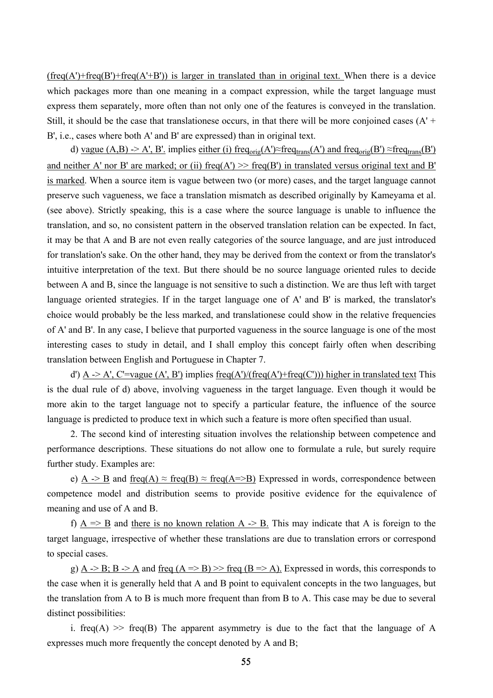$(freq(A') + freq(B') + freq(A' + B'))$  is larger in translated than in original text. When there is a device which packages more than one meaning in a compact expression, while the target language must express them separately, more often than not only one of the features is conveyed in the translation. Still, it should be the case that translationese occurs, in that there will be more conjoined cases  $(A' + B')$ B', i.e., cases where both A' and B' are expressed) than in original text.

d) vague (A,B) -> A', B'. implies either (i) freq<sub>orig</sub>(A')≈freq<sub>trans</sub>(A') and freq<sub>orig</sub>(B') ≈freq<sub>trans</sub>(B') and neither A' nor B' are marked; or (ii) freq(A')  $\gg$  freq(B') in translated versus original text and B' is marked. When a source item is vague between two (or more) cases, and the target language cannot preserve such vagueness, we face a translation mismatch as described originally by Kameyama et al. (see above). Strictly speaking, this is a case where the source language is unable to influence the translation, and so, no consistent pattern in the observed translation relation can be expected. In fact, it may be that A and B are not even really categories of the source language, and are just introduced for translation's sake. On the other hand, they may be derived from the context or from the translator's intuitive interpretation of the text. But there should be no source language oriented rules to decide between A and B, since the language is not sensitive to such a distinction. We are thus left with target language oriented strategies. If in the target language one of A' and B' is marked, the translator's choice would probably be the less marked, and translationese could show in the relative frequencies of A' and B'. In any case, I believe that purported vagueness in the source language is one of the most interesting cases to study in detail, and I shall employ this concept fairly often when describing translation between English and Portuguese in Chapter 7.

d') A -> A', C'=vague (A', B') implies freq(A')/(freq(A')+freq(C'))) higher in translated text This is the dual rule of d) above, involving vagueness in the target language. Even though it would be more akin to the target language not to specify a particular feature, the influence of the source language is predicted to produce text in which such a feature is more often specified than usual.

2. The second kind of interesting situation involves the relationship between competence and performance descriptions. These situations do not allow one to formulate a rule, but surely require further study. Examples are:

e) A -> B and freq(A)  $\approx$  freq(B)  $\approx$  freq(A=>B) Expressed in words, correspondence between competence model and distribution seems to provide positive evidence for the equivalence of meaning and use of A and B.

f)  $A \Rightarrow B$  and there is no known relation  $A \Rightarrow B$ . This may indicate that A is foreign to the target language, irrespective of whether these translations are due to translation errors or correspond to special cases.

g) A  $\geq$  B; B  $\geq$  A and freq (A  $\Rightarrow$  B)  $\geq$  freq (B  $\Rightarrow$  A). Expressed in words, this corresponds to the case when it is generally held that A and B point to equivalent concepts in the two languages, but the translation from A to B is much more frequent than from B to A. This case may be due to several distinct possibilities:

i. freq(A)  $\gg$  freq(B) The apparent asymmetry is due to the fact that the language of A expresses much more frequently the concept denoted by A and B;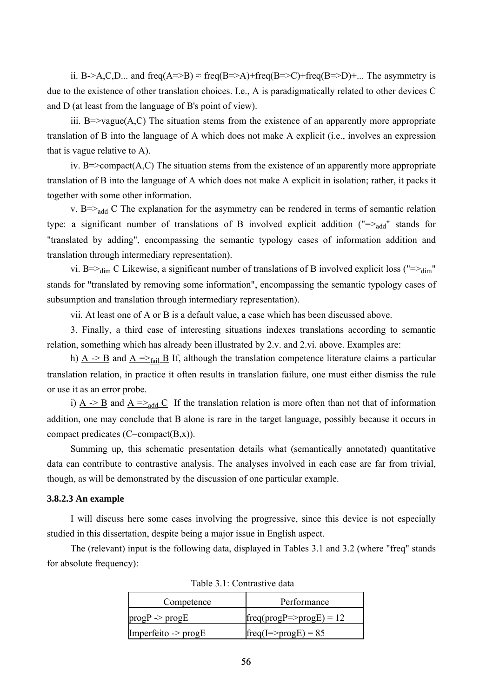ii. B->A,C,D... and freq(A=>B)  $\approx$  freq(B=>A)+freq(B=>C)+freq(B=>D)+... The asymmetry is due to the existence of other translation choices. I.e., A is paradigmatically related to other devices C and D (at least from the language of B's point of view).

iii.  $B \Rightarrow \text{vague}(A, C)$  The situation stems from the existence of an apparently more appropriate translation of B into the language of A which does not make A explicit (i.e., involves an expression that is vague relative to A).

iv. B= $\geq$ compact(A,C) The situation stems from the existence of an apparently more appropriate translation of B into the language of A which does not make A explicit in isolation; rather, it packs it together with some other information.

v. B= $>_{add}$  C The explanation for the asymmetry can be rendered in terms of semantic relation type: a significant number of translations of B involved explicit addition  $("=\gt_{add}$ " stands for "translated by adding", encompassing the semantic typology cases of information addition and translation through intermediary representation).

vi. B=> $_{dim}$  C Likewise, a significant number of translations of B involved explicit loss ("=> $_{dim}$ " stands for "translated by removing some information", encompassing the semantic typology cases of subsumption and translation through intermediary representation).

vii. At least one of A or B is a default value, a case which has been discussed above.

3. Finally, a third case of interesting situations indexes translations according to semantic relation, something which has already been illustrated by 2.v. and 2.vi. above. Examples are:

h)  $A \rightarrow B$  and  $A \rightarrow$ <sub>fail</sub> B If, although the translation competence literature claims a particular translation relation, in practice it often results in translation failure, one must either dismiss the rule or use it as an error probe.

i)  $A \rightarrow B$  and  $A \rightarrow A$  If the translation relation is more often than not that of information addition, one may conclude that B alone is rare in the target language, possibly because it occurs in compact predicates (C=compact(B,x)).

Summing up, this schematic presentation details what (semantically annotated) quantitative data can contribute to contrastive analysis. The analyses involved in each case are far from trivial, though, as will be demonstrated by the discussion of one particular example.

## **3.8.2.3 An example**

I will discuss here some cases involving the progressive, since this device is not especially studied in this dissertation, despite being a major issue in English aspect.

The (relevant) input is the following data, displayed in Tables 3.1 and 3.2 (where "freq" stands for absolute frequency):

| Competence                     | Performance                               |
|--------------------------------|-------------------------------------------|
| $progP \geq progE$             | $[freq (prog P \Rightarrow prog E) = 12]$ |
| Imperfeito $\rightarrow$ progE | $freq(I = > progE) = 85$                  |

Table 3.1: Contrastive data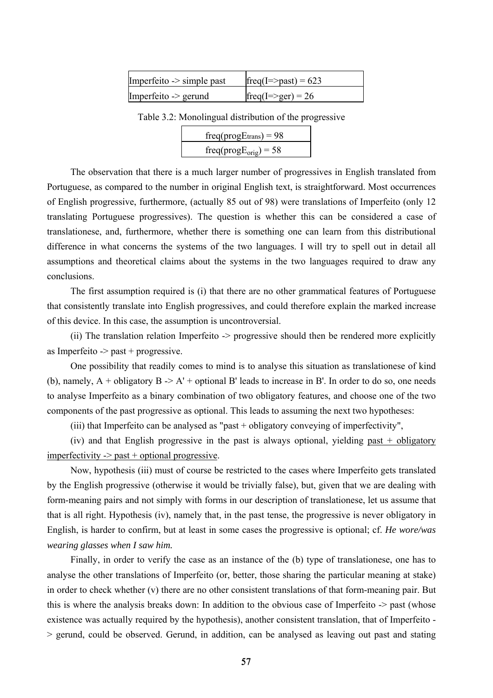| Imperfeito $\rightarrow$ simple past | $freq(I \Rightarrow past) = 623$ |
|--------------------------------------|----------------------------------|
| Imperfeito -> gerund                 | $freq(I \Rightarrow ger) = 26$   |

Table 3.2: Monolingual distribution of the progressive

| $freq(progEtrans) = 98$            |  |
|------------------------------------|--|
| freq(prog $E_{\text{orig}}$ ) = 58 |  |

The observation that there is a much larger number of progressives in English translated from Portuguese, as compared to the number in original English text, is straightforward. Most occurrences of English progressive, furthermore, (actually 85 out of 98) were translations of Imperfeito (only 12 translating Portuguese progressives). The question is whether this can be considered a case of translationese, and, furthermore, whether there is something one can learn from this distributional difference in what concerns the systems of the two languages. I will try to spell out in detail all assumptions and theoretical claims about the systems in the two languages required to draw any conclusions.

The first assumption required is (i) that there are no other grammatical features of Portuguese that consistently translate into English progressives, and could therefore explain the marked increase of this device. In this case, the assumption is uncontroversial.

(ii) The translation relation Imperfeito -> progressive should then be rendered more explicitly as Imperfeito  $\rightarrow$  past + progressive.

One possibility that readily comes to mind is to analyse this situation as translationese of kind (b), namely,  $A +$  obligatory  $B \geq A' +$  optional B' leads to increase in B'. In order to do so, one needs to analyse Imperfeito as a binary combination of two obligatory features, and choose one of the two components of the past progressive as optional. This leads to assuming the next two hypotheses:

(iii) that Imperfeito can be analysed as "past + obligatory conveying of imperfectivity",

(iv) and that English progressive in the past is always optional, yielding past + obligatory  $imperfectivity \rightarrow past + optional progressive.$ 

Now, hypothesis (iii) must of course be restricted to the cases where Imperfeito gets translated by the English progressive (otherwise it would be trivially false), but, given that we are dealing with form-meaning pairs and not simply with forms in our description of translationese, let us assume that that is all right. Hypothesis (iv), namely that, in the past tense, the progressive is never obligatory in English, is harder to confirm, but at least in some cases the progressive is optional; cf. *He wore/was wearing glasses when I saw him.*

Finally, in order to verify the case as an instance of the (b) type of translationese, one has to analyse the other translations of Imperfeito (or, better, those sharing the particular meaning at stake) in order to check whether (v) there are no other consistent translations of that form-meaning pair. But this is where the analysis breaks down: In addition to the obvious case of Imperfeito -> past (whose existence was actually required by the hypothesis), another consistent translation, that of Imperfeito - > gerund, could be observed. Gerund, in addition, can be analysed as leaving out past and stating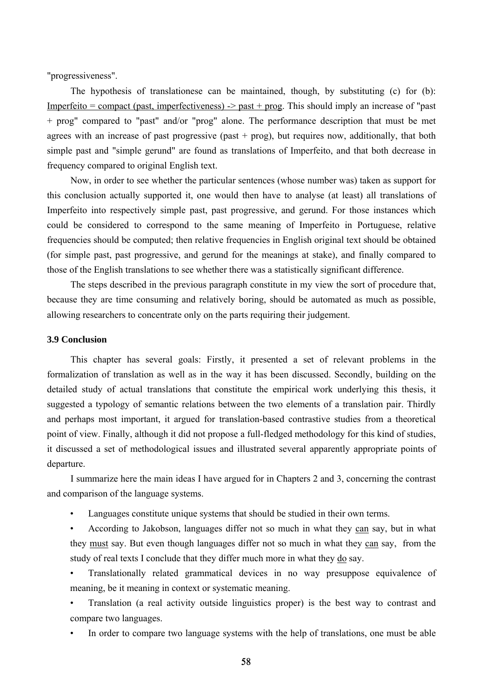"progressiveness".

The hypothesis of translationese can be maintained, though, by substituting (c) for (b): Imperfeito = compact (past, imperfectiveness)  $\rightarrow$  past + prog. This should imply an increase of "past" + prog" compared to "past" and/or "prog" alone. The performance description that must be met agrees with an increase of past progressive (past  $+$  prog), but requires now, additionally, that both simple past and "simple gerund" are found as translations of Imperfeito, and that both decrease in frequency compared to original English text.

Now, in order to see whether the particular sentences (whose number was) taken as support for this conclusion actually supported it, one would then have to analyse (at least) all translations of Imperfeito into respectively simple past, past progressive, and gerund. For those instances which could be considered to correspond to the same meaning of Imperfeito in Portuguese, relative frequencies should be computed; then relative frequencies in English original text should be obtained (for simple past, past progressive, and gerund for the meanings at stake), and finally compared to those of the English translations to see whether there was a statistically significant difference.

The steps described in the previous paragraph constitute in my view the sort of procedure that, because they are time consuming and relatively boring, should be automated as much as possible, allowing researchers to concentrate only on the parts requiring their judgement.

## **3.9 Conclusion**

This chapter has several goals: Firstly, it presented a set of relevant problems in the formalization of translation as well as in the way it has been discussed. Secondly, building on the detailed study of actual translations that constitute the empirical work underlying this thesis, it suggested a typology of semantic relations between the two elements of a translation pair. Thirdly and perhaps most important, it argued for translation-based contrastive studies from a theoretical point of view. Finally, although it did not propose a full-fledged methodology for this kind of studies, it discussed a set of methodological issues and illustrated several apparently appropriate points of departure.

I summarize here the main ideas I have argued for in Chapters 2 and 3, concerning the contrast and comparison of the language systems.

Languages constitute unique systems that should be studied in their own terms.

• According to Jakobson, languages differ not so much in what they can say, but in what they must say. But even though languages differ not so much in what they can say, from the study of real texts I conclude that they differ much more in what they do say.

• Translationally related grammatical devices in no way presuppose equivalence of meaning, be it meaning in context or systematic meaning.

• Translation (a real activity outside linguistics proper) is the best way to contrast and compare two languages.

• In order to compare two language systems with the help of translations, one must be able